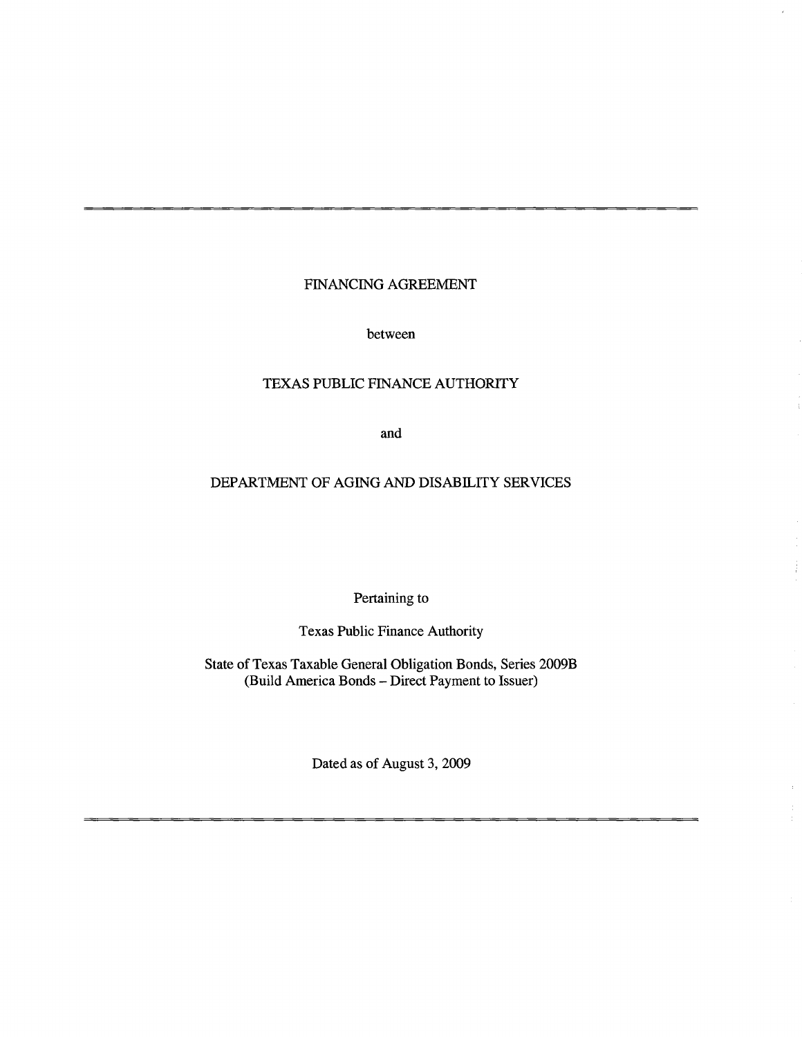# FINANCING AGREEMENT

between

# TEXAS PUBLIC FINANCE AUTHORITY

and

# DEPARTMENT OF AGING AND DISABILITY SERVICES

Pertaining to

Texas Public Finance Authority

State of Texas Taxable General Obligation Bonds, Series 2009B (Build America Bonds -Direct Payment to Issuer)

Dated as of August 3, 2009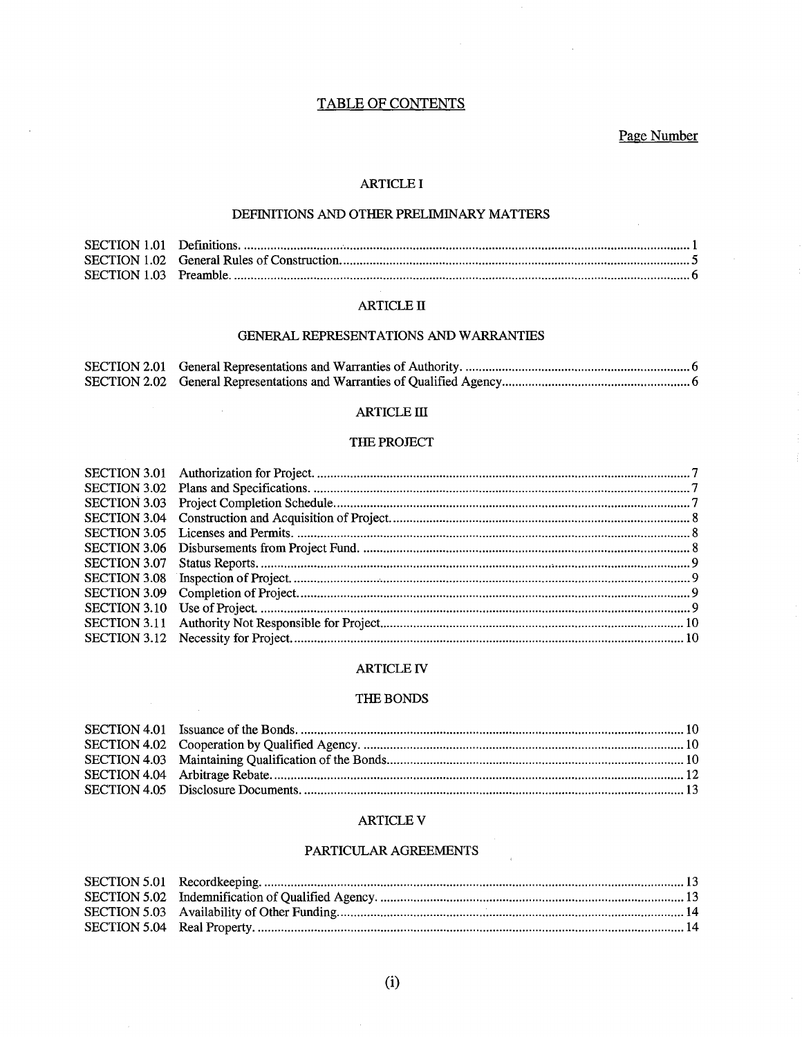# **TABLE OF CONTENTS**

Page Number

### **ARTICLE I**

### DEFINITIONS AND OTHER PRELIMINARY MATTERS

#### **ARTICLE II**

#### GENERAL REPRESENTATIONS AND WARRANTIES

# **ARTICLE III**

 $\sim$ 

 $\sim$ 

# THE PROJECT

#### ARTICLE IV

#### THE BONDS

#### **ARTICLE V**

### PARTICULAR AGREEMENTS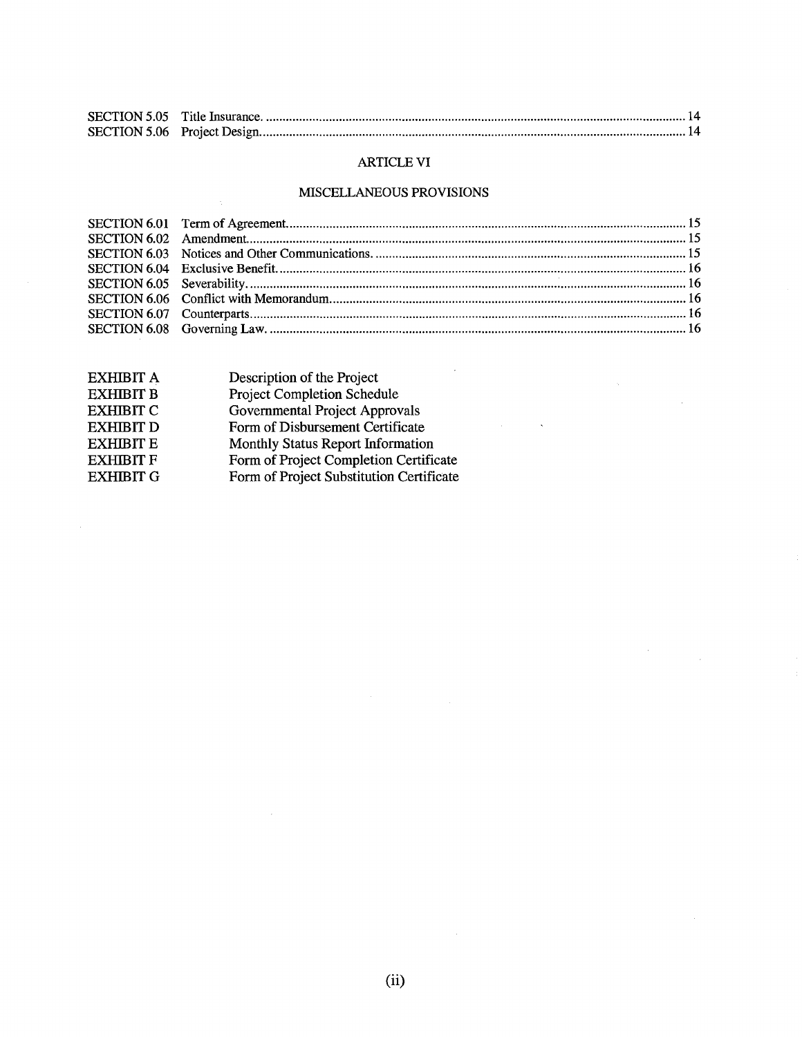# ARTICLE VI

# MISCELLANEOUS PROVISIONS

 $\frac{1}{2} \frac{1}{2} \frac{1}{2} \frac{1}{2} \frac{1}{2}$ 

 $\label{eq:2.1} \frac{1}{\sqrt{2}}\sum_{i=1}^n\frac{1}{\sqrt{2\pi}}\sum_{i=1}^n\frac{1}{\sqrt{2\pi}}\sum_{i=1}^n\frac{1}{\sqrt{2\pi}}\sum_{i=1}^n\frac{1}{\sqrt{2\pi}}\sum_{i=1}^n\frac{1}{\sqrt{2\pi}}\sum_{i=1}^n\frac{1}{\sqrt{2\pi}}\sum_{i=1}^n\frac{1}{\sqrt{2\pi}}\sum_{i=1}^n\frac{1}{\sqrt{2\pi}}\sum_{i=1}^n\frac{1}{\sqrt{2\pi}}\sum_{i=1}^n\frac{$ 

| EXHIBIT A        | Description of the Project               |
|------------------|------------------------------------------|
| <b>EXHIBIT B</b> | Project Completion Schedule              |
| <b>EXHIBIT C</b> | Governmental Project Approvals           |
| <b>EXHIBIT D</b> | Form of Disbursement Certificate         |
| <b>EXHIBIT E</b> | Monthly Status Report Information        |
| <b>EXHIBIT F</b> | Form of Project Completion Certificate   |
| <b>EXHIBIT G</b> | Form of Project Substitution Certificate |
|                  |                                          |

 $\mathcal{A}$ 

 $\sim 10^{11}$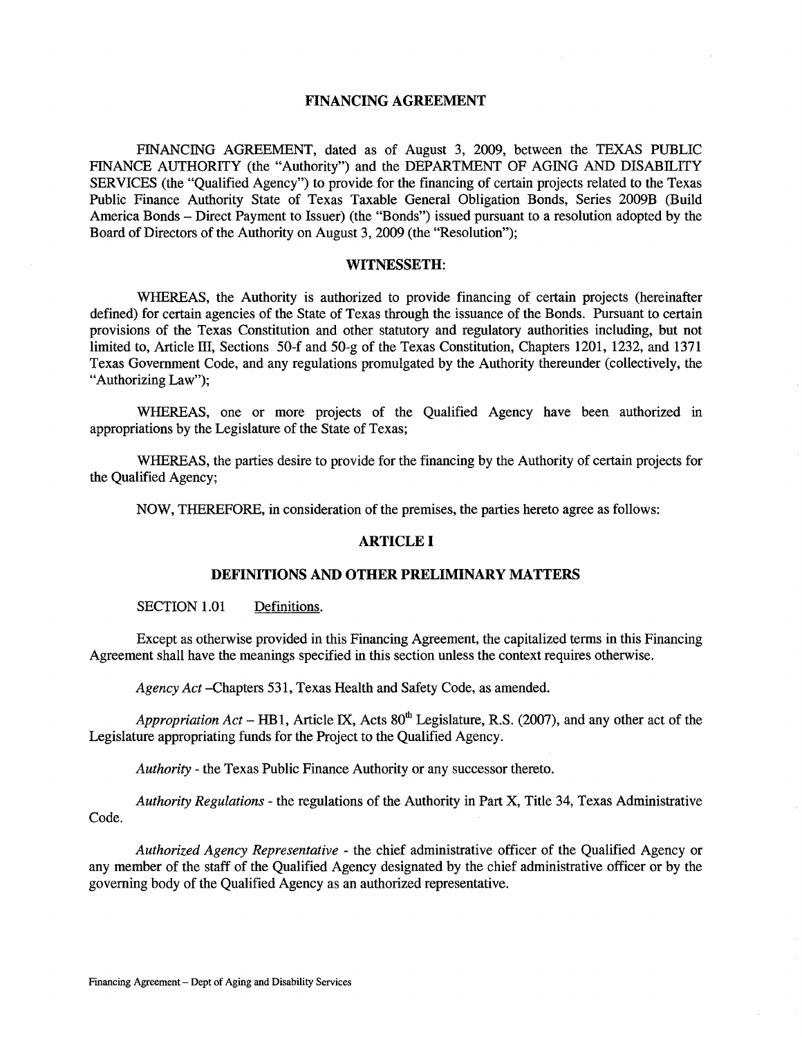### FINANCING AGREEMENT

FINANCING AGREEMENT, dated as of August 3, 2009, between the TEXAS PUBLIC FINANCE AUTHORITY (the "Authority") and the DEPARTMENT OF AGING AND DISABILITY SERVICES (the "Qualified Agency") to provide for the financing of certain projects related to the Texas Public Finance Authority State of Texas Taxable General Obligation Bonds, Series 2009B (Build America Bonds - Direct Payment to Issuer) (the "Bonds") issued pursuant to a resolution adopted by the Board of Directors of the Authority on August 3, 2009 (the "Resolution");

#### WITNESSETH:

WHEREAS, the Authority is authorized to provide financing of certain projects (hereinafter defined) for certain agencies of the State of Texas through the issuance of the Bonds. Pursuant to certain provisions of the Texas Constitution and other statutory and regulatory authorities including, but not limited to, Article III, Sections 50-f and 50-g of the Texas Constitution, Chapters 1201, 1232, and 1371 Texas Government Code, and any regulations promulgated by the Authority thereunder (collectively, the "Authorizing Law");

WHEREAS, one or more projects of the Qualified Agency have been authorized in appropriations by the Legislature of the State of Texas;

WHEREAS, the parties desire to provide for the financing by the Authority of certain projects for the Qualified Agency;

NOW, THEREFORE, in consideration of the premises, the parties hereto agree as follows:

# ARTICLE I

#### DEFINITIONS AND OTHER PRELIMINARY MATTERS

SECTION 1.01 Definitions.

Except as otherwise provided in this Financing Agreement, the capitalized terms in this Financing Agreement shall have the meanings specified in this section unless the context requires otherwise.

*Agency Act* -Chapters 531, Texas Health and Safety Code, as amended.

*Appropriation Act* – HB1, Article IX, Acts 80<sup>th</sup> Legislature, R.S. (2007), and any other act of the Legislature appropriating funds for the Project to the Qualified Agency.

*Authority* - the Texas Public Finance Authority or any successor thereto.

*Authority Regulations* - the regulations of the Authority in Part X, Title 34, Texas Administrative Code.

*Authorized Agency Representative* - the chief administrative officer of the Qualified Agency or any member of the staff of the Qualified Agency designated by the chief administrative officer or by the governing body of the Qualified Agency as an authorized representative.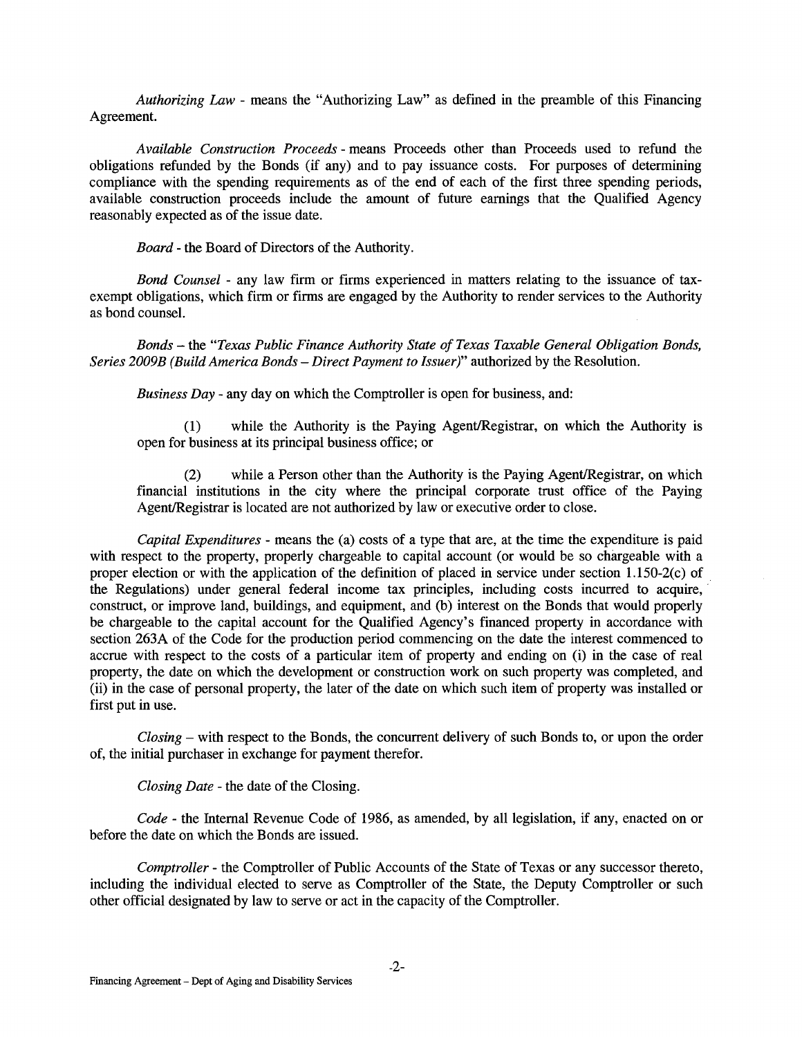*Authorizing Law* - means the "Authorizing Law" as defined in the preamble of this Financing Agreement.

*Available Construction Proceeds* - means Proceeds other than Proceeds used to refund the obligations refunded by the Bonds (if any) and to pay issuance costs. For purposes of determining compliance with the spending requirements as of the end of each of the first three spending periods, available construction proceeds include the amount of future earnings that the Qualified Agency reasonably expected as of the issue date.

*Board* - the Board of Directors of the Authority.

*Bond Counsel* - any law firm or firms experienced in matters relating to the issuance of taxexempt obligations, which firm or firms are engaged by the Authority to render services to the Authority as bond counsel.

*Bonds* - the *"Texas Public Finance Authority State of Texas Taxable General Obligation Bonds, Series 2009B (Build America Bonds- Direct Payment to Issuer)"* authorized by the Resolution.

*Business Day* - any day on which the Comptroller is open for business, and:

(1) while the Authority is the Paying Agent/Registrar, on which the Authority is open for business at its principal business office; or

(2) while a Person other than the Authority is the Paying Agent/Registrar, on which financial institutions in the city where the principal corporate trust office of the Paying Agent/Registrar is located are not authorized by law or executive order to close.

*Capital Expenditures-* means the (a) costs of a type that are, at the time the expenditure is paid with respect to the property, properly chargeable to capital account (or would be so chargeable with a proper election or with the application of the definition of placed in service under section 1.150-2(c) of the Regulations) under general federal income tax principles, including costs incurred to acquire, construct, or improve land, buildings, and equipment, and (b) interest on the Bonds that would properly be chargeable to the capital account for the Qualified Agency's financed property in accordance with section 263A of the Code for the production period commencing on the date the interest commenced to accrue with respect to the costs of a particular item of property and ending on (i) in the case of real property, the date on which the development or construction work on such property was completed, and (ii) in the case of personal property, the later of the date on which such item of property was installed or first put in use.

*Closing* - with respect to the Bonds, the concurrent delivery of such Bonds to, or upon the order of, the initial purchaser in exchange for payment therefor.

*Closing Date* - the date of the Closing.

*Code-* the Internal Revenue Code of 1986, as amended, by all legislation, if any, enacted on or before the date on which the Bonds are issued.

*Comptroller* - the Comptroller of Public Accounts of the State of Texas or any successor thereto, including the individual elected to serve as Comptroller of the State, the Deputy Comptroller or such other official designated by law to serve or act in the capacity of the Comptroller.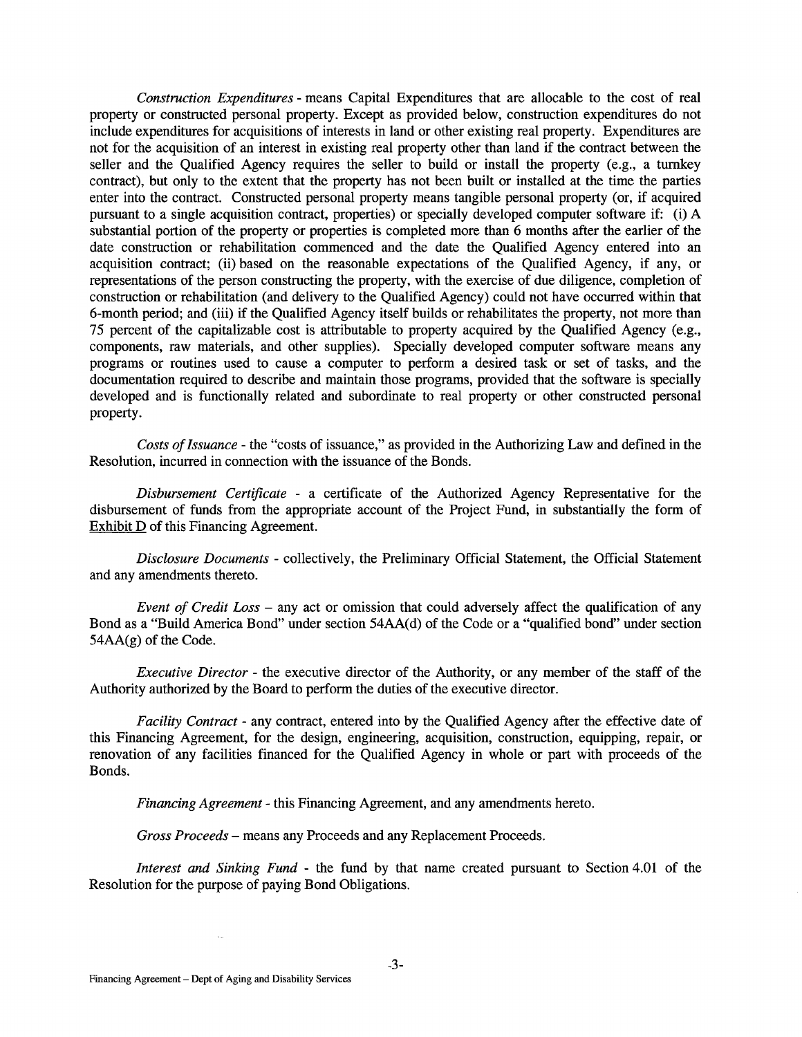*Construction Expenditures* - means Capital Expenditures that are allocable to the cost of real property or constructed personal property. Except as provided below, construction expenditures do not include expenditures for acquisitions of interests in land or other existing real property. Expenditures are not for the acquisition of an interest in existing real property other than land if the contract between the seller and the Qualified Agency requires the seller to build or install the property (e.g., a turnkey contract), but only to the extent that the property has not been built or installed at the time the parties enter into the contract. Constructed personal property means tangible personal property (or, if acquired pursuant to a single acquisition contract, properties) or specially developed computer software if: (i) A substantial portion of the property or properties is completed more than 6 months after the earlier of the date construction or rehabilitation commenced and the date the Qualified Agency entered into an acquisition contract; (ii) based on the reasonable expectations of the Qualified Agency, if any, or representations of the person constructing the property, with the exercise of due diligence, completion of construction or rehabilitation (and delivery to the Qualified Agency) could not have occurred within that 6-month period; and (iii) if the Qualified Agency itself builds or rehabilitates the property, not more than 75 percent of the capitalizable cost is attributable to property acquired by the Qualified Agency (e.g., components, raw materials, and other supplies). Specially developed computer software means any programs or routines used to cause a computer to perform a desired task or set of tasks, and the documentation required to describe and maintain those programs, provided that the software is specially developed and is functionally related and subordinate to real property or other constructed personal property.

*Costs of Issuance* - the "costs of issuance," as provided in the Authorizing Law and defined in the Resolution, incurred in connection with the issuance of the Bonds.

*Disbursement Certificate* - a certificate of the Authorized Agency Representative for the disbursement of funds from the appropriate account of the Project Fund, in substantially the form of Exhibit D of this Financing Agreement.

*Disclosure Documents* - collectively, the Preliminary Official Statement, the Official Statement and any amendments thereto.

*Event of Credit Loss* - any act or omission that could adversely affect the qualification of any Bond as a "Build America Bond" under section 54AA(d) of the Code or a "qualified bond" under section 54AA(g) of the Code.

*Executive Director-* the executive director of the Authority, or any member of the staff of the Authority authorized by the Board to perform the duties of the executive director.

*Facility Contract-* any contract, entered into by the Qualified Agency after the effective date of this Financing Agreement, for the design, engineering, acquisition, construction, equipping, repair, or renovation of any facilities financed for the Qualified Agency in whole or part with proceeds of the Bonds.

*Financing Agreement* - this Financing Agreement, and any amendments hereto.

*Gross Proceeds* - means any Proceeds and any Replacement Proceeds.

*Interest and Sinking Fund* - the fund by that name created pursuant to Section 4.01 of the Resolution for the purpose of paying Bond Obligations.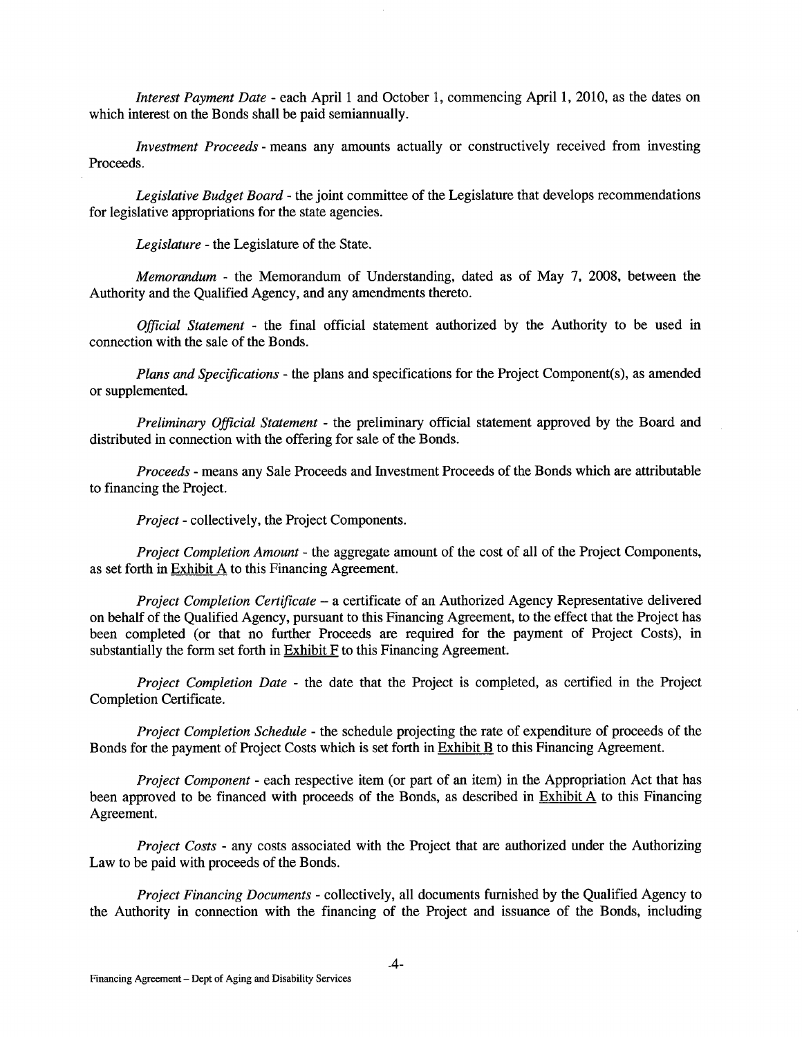*Interest Payment Date* - each April 1 and October 1, commencing April 1, 2010, as the dates on which interest on the Bonds shall be paid semiannually.

*Investment Proceeds-* means any amounts actually or constructively received from investing Proceeds.

*Legislative Budget Board* - the joint committee of the Legislature that develops recommendations for legislative appropriations for the state agencies.

*Legislature-* the Legislature of the State.

*Memorandum* - the Memorandum of Understanding, dated as of May 7, 2008, between the Authority and the Qualified Agency, and any amendments thereto.

*Official Statement* - the final official statement authorized by the Authority to be used in connection with the sale of the Bonds.

*Plans and Specifications-* the plans and specifications for the Project Component(s), as amended or supplemented.

*Preliminary Official Statement* - the preliminary official statement approved by the Board and distributed in connection with the offering for sale of the Bonds.

*Proceeds* - means any Sale Proceeds and Investment Proceeds of the Bonds which are attributable to financing the Project.

*Project-* collectively, the Project Components.

*Project Completion Amount* - the aggregate amount of the cost of all of the Project Components, as set forth in Exhibit  $\overline{A}$  to this Financing Agreement.

*Project Completion Certificate* - a certificate of an Authorized Agency Representative delivered on behalf of the Qualified Agency, pursuant to this Financing Agreement, to the effect that the Project has been completed (or that no further Proceeds are required for the payment of Project Costs), in substantially the form set forth in Exhibit F to this Financing Agreement.

*Project Completion Date* - the date that the Project is completed, as certified in the Project Completion Certificate.

*Project Completion Schedule* - the schedule projecting the rate of expenditure of proceeds of the Bonds for the payment of Project Costs which is set forth in Exhibit B to this Financing Agreement.

*Project Component* - each respective item (or part of an item) in the Appropriation Act that has been approved to be financed with proceeds of the Bonds, as described in **Exhibit A** to this Financing Agreement.

*Project Costs* - any costs associated with the Project that are authorized under the Authorizing Law to be paid with proceeds of the Bonds.

*Project Financing Documents-* collectively, all documents furnished by the Qualified Agency to the Authority in connection with the financing of the Project and issuance of the Bonds, including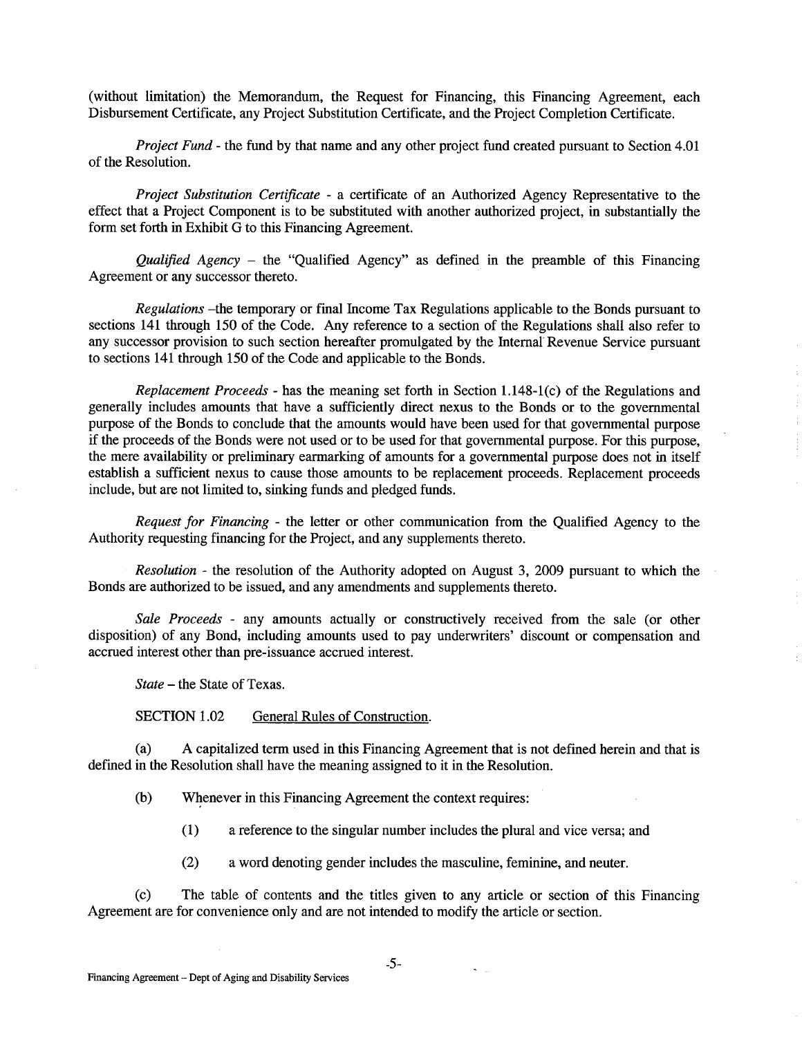(without limitation) the Memorandum, the Request for Financing, this Financing Agreement, each Disbursement Certificate, any Project Substitution Certificate, and the Project Completion Certificate.

*Project Fund-* the fund by that name and any other project fund created pursuant to Section 4.01 of the Resolution.

*Project Substitution Certificate* - a certificate of an Authorized Agency Representative to the effect that a Project Component is to be substituted with another authorized project, in substantially the form set forth in Exhibit G to this Financing Agreement.

*Qualified Agency* - the "Qualified Agency" as defined in the preamble of this Financing Agreement or any successor thereto.

*Regulations* -the temporary or final Income Tax Regulations applicable to the Bonds pursuant to sections 141 through 150 of the Code. Any reference to a section of the Regulations shall also refer to any successor provision to such section hereafter promulgated by the Internal Revenue Service pursuant to sections 141 through 150 of the Code and applicable to the Bonds.

*Replacement Proceeds* - has the meaning set forth in Section 1.148-1 (c) of the Regulations and generally includes amounts that have a sufficiently direct nexus to the Bonds or to the governmental purpose of the Bonds to conclude that the amounts would have been used for that governmental purpose if the proceeds of the Bonds were not used or to be used for that governmental purpose. For this purpose, the mere availability or preliminary earmarking of amounts for a governmental purpose does not in itself establish a sufficient nexus to cause those amounts to be replacement proceeds. Replacement proceeds include, but are not limited to, sinking funds and pledged funds.

*Request for Financing* - the letter or other communication from the Qualified Agency to the Authority requesting financing for the Project, and any supplements thereto.

*Resolution* - the resolution of the Authority adopted on August 3, 2009 pursuant to which the Bonds are authorized to be issued, and any amendments and supplements thereto.

*Sale Proceeds* - any amounts actually or constructively received from the sale (or other disposition) of any Bond, including amounts used to pay underwriters' discount or compensation and accrued interest other than pre-issuance accrued interest.

*State* -the State of Texas.

SECTION 1.02 General Rules of Construction.

(a) A capitalized term used in this Financing Agreement that is not defined herein and that is defined in the Resolution shall have the meaning assigned to it in the Resolution.

(b) Whenever in this Financing Agreement the context requires:

(1) a reference to the singular number includes the plural and vice versa; and

(2) a word denoting gender includes the masculine, feminine, and neuter.

(c) The table of contents and the titles given to any article or section of this Financing Agreement are for convenience only and are not intended to modify the article or section.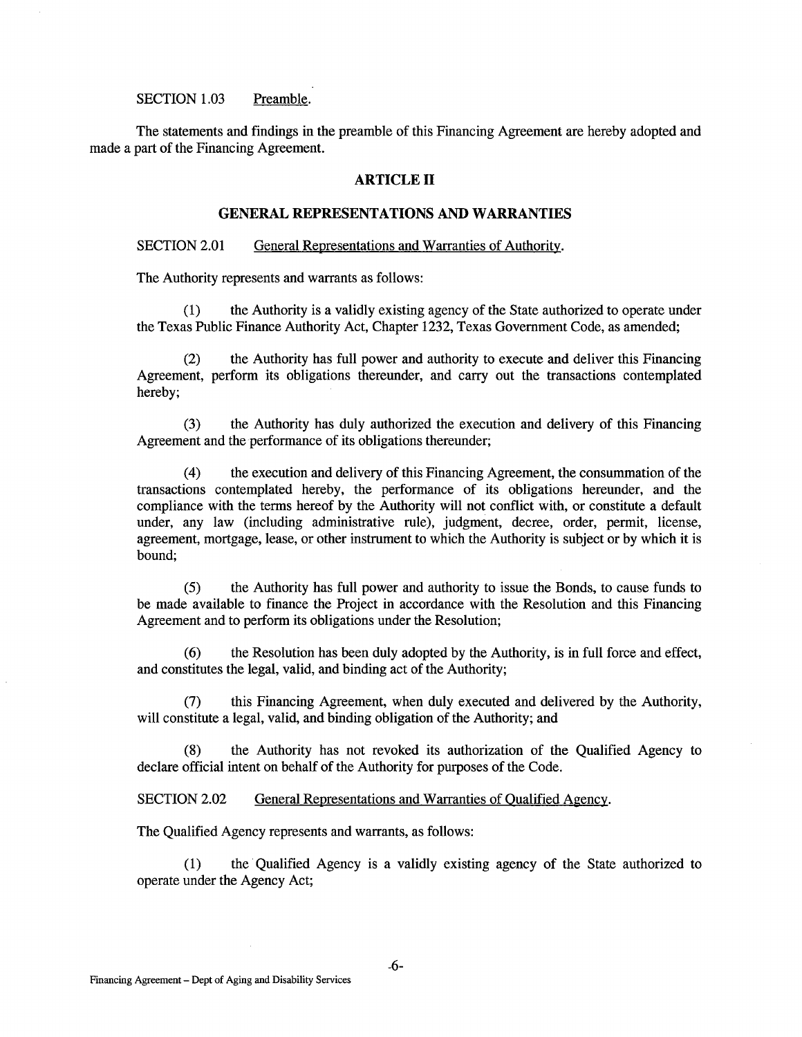#### SECTION 1.03 Preamble.

The statements and findings in the preamble of this Financing Agreement are hereby adopted and made a part of the Financing Agreement.

### **ARTICLE II**

# **GENERAL REPRESENTATIONS AND WARRANTIES**

#### SECTION 2.01 General Representations and Warranties of Authority.

The Authority represents and warrants as follows:

(1) the Authority is a validly existing agency of the State authorized to operate under the Texas Public Finance Authority Act, Chapter 1232, Texas Government Code, as amended;

(2) the Authority has full power and authority to execute and deliver this Financing Agreement, perform its obligations thereunder, and carry out the transactions contemplated hereby;

(3) the Authority has duly authorized the execution and delivery of this Financing Agreement and the performance of its obligations thereunder;

(4) the execution and delivery of this Financing Agreement, the consummation of the transactions contemplated hereby, the performance of its obligations hereunder, and the compliance with the terms hereof by the Authority will not conflict with, or constitute a default under, any law (including administrative rule), judgment, decree, order, permit, license, agreement, mortgage, lease, or other instrument to which the Authority is subject or by which it is bound;

(5) the Authority has full power and authority to issue the Bonds, to cause funds to be made available to finance the Project in accordance with the Resolution and this Financing Agreement and to perform its obligations under the Resolution;

(6) the Resolution has been duly adopted by the Authority, is in full force and effect, and constitutes the legal, valid, and binding act of the Authority;

(7) this Financing Agreement, when duly executed and delivered by the Authority, will constitute a legal, valid, and binding obligation of the Authority; and

(8) the Authority has not revoked its authorization of the Qualified Agency to declare official intent on behalf of the Authority for purposes of the Code.

SECTION 2.02 General Representations and Warranties of Qualified Agency.

The Qualified Agency represents and warrants, as follows:

(1) the Qualified Agency is a validly existing agency of the State authorized to operate under the Agency Act;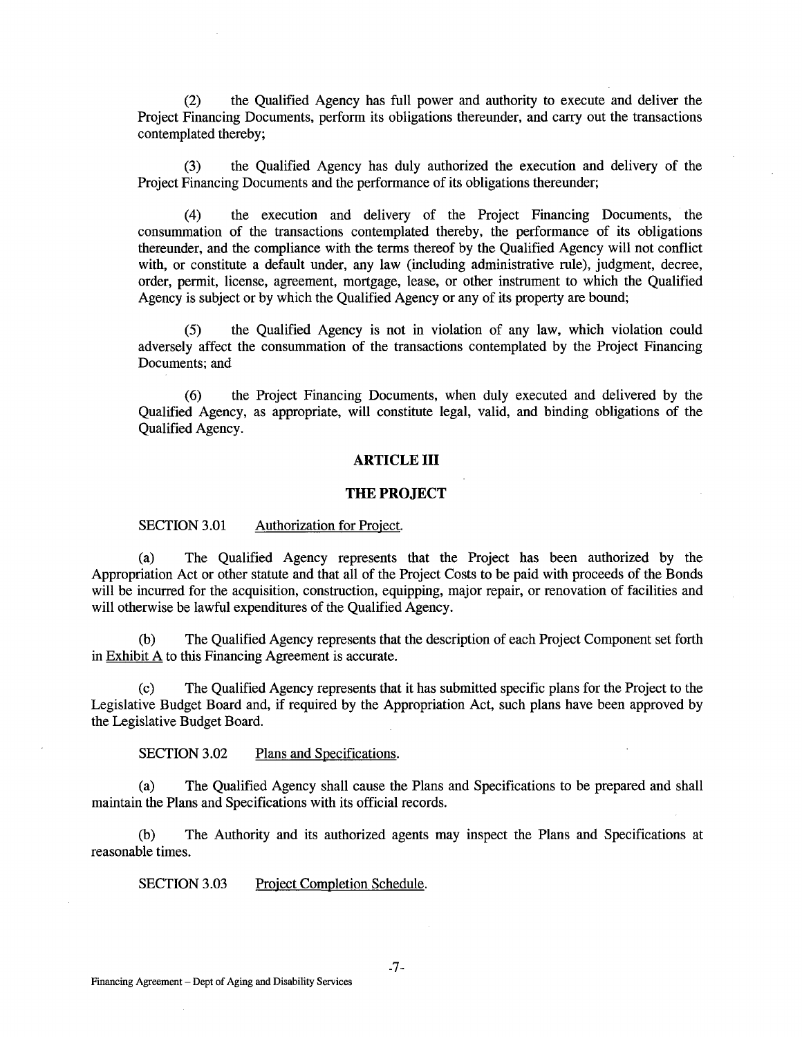(2) the Qualified Agency has full power and authority to execute and deliver the Project Financing Documents, perform its obligations thereunder, and carry out the transactions contemplated thereby;

(3) the Qualified Agency has duly authorized the execution and delivery of the Project Financing Documents and the performance of its obligations thereunder;

(4) the execution and delivery of the Project Financing Documents, the consummation of the transactions contemplated thereby, the performance of its obligations thereunder, and the compliance with the terms thereof by the Qualified Agency will not conflict with, or constitute a default under, any law (including administrative rule), judgment, decree, order, permit, license, agreement, mortgage, lease, or other instrument to which the Qualified Agency is subject or by which the Qualified Agency or any of its property are bound;

(5) the Qualified Agency is not in violation of any law, which violation could adversely affect the consummation of the transactions contemplated by the Project Financing Documents; and

(6) the Project Financing Documents, when duly executed and delivered by the Qualified Agency, as appropriate, will constitute legal, valid, and binding obligations of the Qualified Agency.

#### **ARTICLE III**

#### **THE PROJECT**

#### SECTION 3.01 Authorization for Project.

(a) The Qualified Agency represents that the Project has been authorized by the Appropriation Act or other statute and that all of the Project Costs to be paid with proceeds of the Bonds will be incurred for the acquisition, construction, equipping, major repair, or renovation of facilities and will otherwise be lawful expenditures of the Qualified Agency.

(b) The Qualified Agency represents that the description of each Project Component set forth in  $Exhibit A$  to this Financing Agreement is accurate.

(c) The Qualified Agency represents that it has submitted specific plans for the Project to the Legislative Budget Board and, if required by the Appropriation Act, such plans have been approved by the Legislative Budget Board.

SECTION 3.02 Plans and Specifications.

(a) The Qualified Agency shall cause the Plans and Specifications to be prepared and shall maintain the Plans and Specifications with its official records.

(b) The Authority and its authorized agents may inspect the Plans and Specifications at reasonable times.

SECTION 3.03 Project Completion Schedule.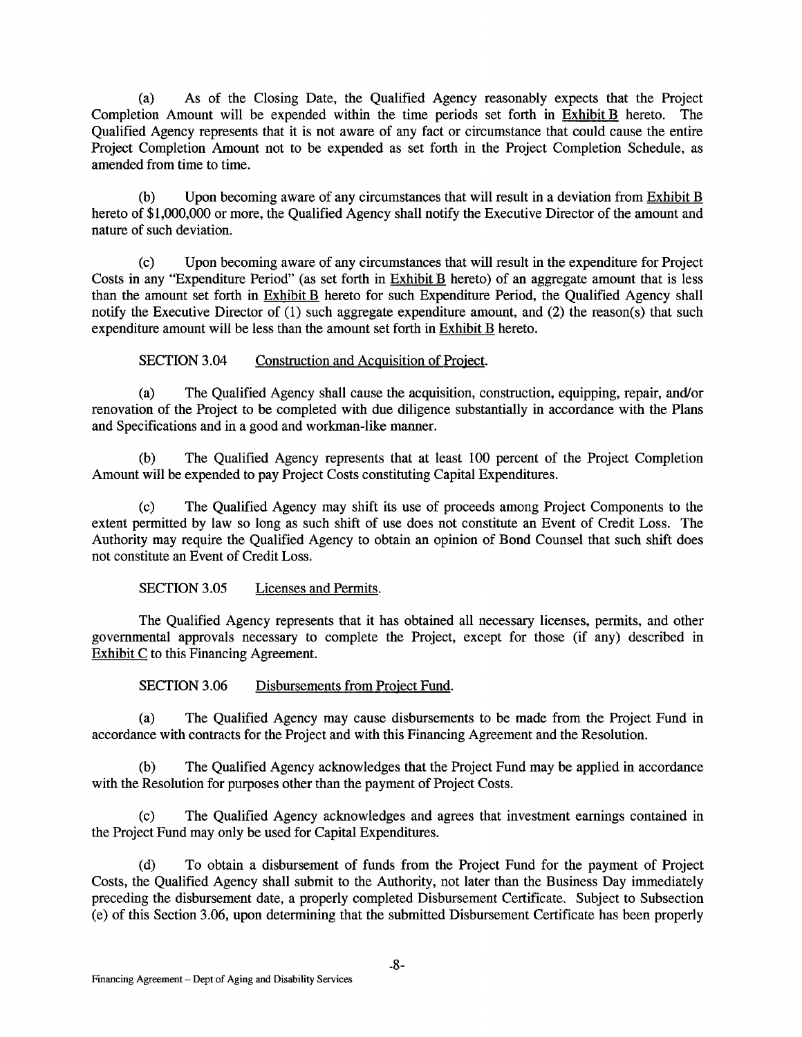(a) As of the Closing Date, the Qualified Agency reasonably expects that the Project Completion Amount will be expended within the time periods set forth in  $Exhibit B$  hereto. The Qualified Agency represents that it is not aware of any fact or circumstance that could cause the entire Project Completion Amount not to be expended as set forth in the Project Completion Schedule, as amended from time to time.

(b) Upon becoming aware of any circumstances that will result in a deviation from Exhibit B hereto of \$1,000,000 or more, the Qualified Agency shall notify the Executive Director of the amount and nature of such deviation.

(c) Upon becoming aware of any circumstances that will result in the expenditure for Project Costs in any "Expenditure Period" (as set forth in **Exhibit B** hereto) of an aggregate amount that is less than the amount set forth in Exhibit B hereto for such Expenditure Period, the Qualified Agency shall notify the Executive Director of (1) such aggregate expenditure amount, and (2) the reason(s) that such expenditure amount will be less than the amount set forth in Exhibit B hereto.

SECTION 3.04 Construction and Acquisition of Project.

(a) The Qualified Agency shall cause the acquisition, construction, equipping, repair, and/or renovation of the Project to be completed with due diligence substantially in accordance with the Plans and Specifications and in a good and workman-like manner.

(b) The Qualified Agency represents that at least 100 percent of the Project Completion Amount will be expended to pay Project Costs constituting Capital Expenditures.

(c) The Qualified Agency may shift its use of proceeds among Project Components to the extent permitted by law so long as such shift of use does not constitute an Event of Credit Loss. The Authority may require the Qualified Agency to obtain an opinion of Bond Counsel that such shift does not constitute an Event of Credit Loss.

SECTION 3.05 Licenses and Permits.

The Qualified Agency represents that it has obtained all necessary licenses, permits, and other governmental approvals necessary to complete the Project, except for those (if any) described in Exhibit C to this Financing Agreement.

SECTION 3.06 Disbursements from Project Fund.

(a) The Qualified Agency may cause disbursements to be made from the Project Fund in accordance with contracts for the Project and with this Financing Agreement and the Resolution.

(b) The Qualified Agency acknowledges that the Project Fund may be applied in accordance with the Resolution for purposes other than the payment of Project Costs.

(c) The Qualified Agency acknowledges and agrees that investment earnings contained in the Project Fund may only be used for Capital Expenditures.

(d) To obtain a disbursement of funds from the Project Fund for the payment of Project Costs, the Qualified Agency shall submit to the Authority, not later than the Business Day immediately preceding the disbursement date, a properly completed Disbursement Certificate. Subject to Subsection (e) of this Section 3.06, upon determining that the submitted Disbursement Certificate has been properly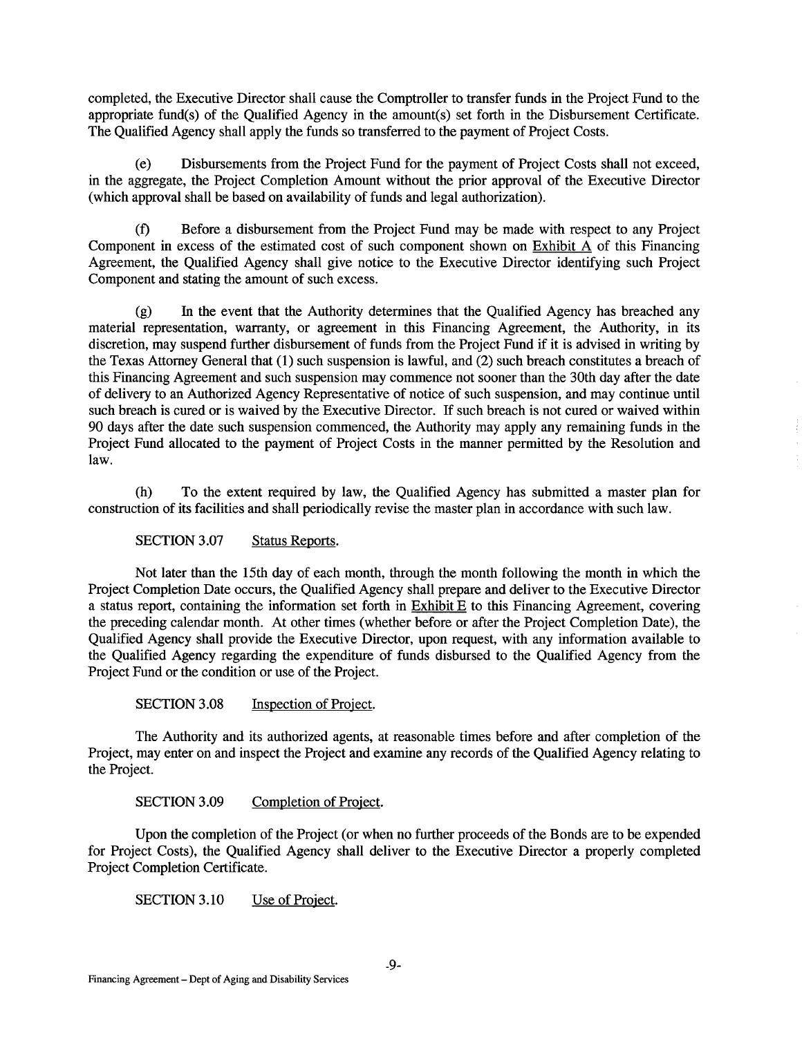completed, the Executive Director shall cause the Comptroller to transfer funds in the Project Fund to the appropriate fund(s) of the Qualified Agency in the amount(s) set forth in the Disbursement Certificate. The Qualified Agency shall apply the funds so transferred to the payment of Project Costs.

(e) Disbursements from the Project Fund for the payment of Project Costs shall not exceed, in the aggregate, the Project Completion Amount without the prior approval of the Executive Director (which approval shall be based on availability of funds and legal authorization).

(f) Before a disbursement from the Project Fund may be made with respect to any Project Component in excess of the estimated cost of such component shown on Exhibit A of this Financing Agreement, the Qualified Agency shall give notice to the Executive Director identifying such Project Component and stating the amount of such excess.

(g) In the event that the Authority determines that the Qualified Agency has breached any material representation, warranty, or agreement in this Financing Agreement, the Authority, in its discretion, may suspend further disbursement of funds from the Project Fund if it is advised in writing by the Texas Attorney General that (1) such suspension is lawful, and (2) such breach constitutes a breach of this Financing Agreement and such suspension may commence not sooner than the 30th day after the date of delivery to an Authorized Agency Representative of notice of such suspension, and may continue until such breach is cured or is waived by the Executive Director. If such breach is not cured or waived within 90 days after the date such suspension commenced, the Authority may apply any remaining funds in the Project Fund allocated to the payment of Project Costs in the manner permitted by the Resolution and law.

(h) To the extent required by law, the Qualified Agency has submitted a master plan for construction of its facilities and shall periodically revise the master plan in accordance with such law.

SECTION 3.07 Status Reports.

Not later than the 15th day of each month, through the month following the month in which the Project Completion Date occurs, the Qualified Agency shall prepare and deliver to the Executive Director a status report, containing the information set forth in  $Exhibit E$  to this Financing Agreement, covering the preceding calendar month. At other times (whether before or after the Project Completion Date), the Qualified Agency shall provide the Executive Director, upon request, with any information available to the Qualified Agency regarding the expenditure of funds disbursed to the Qualified Agency from the Project Fund or the condition or use of the Project.

SECTION 3.08 Inspection of Project.

The Authority and its authorized agents, at reasonable times before and after completion of the Project, may enter on and inspect the Project and examine any records of the Qualified Agency relating to the Project.

SECTION 3.09 Completion of Project.

Upon the completion of the Project (or when no further proceeds of the Bonds are to be expended for Project Costs), the Qualified Agency shall deliver to the Executive Director a properly completed Project Completion Certificate.

SECTION 3.10 Use of Project.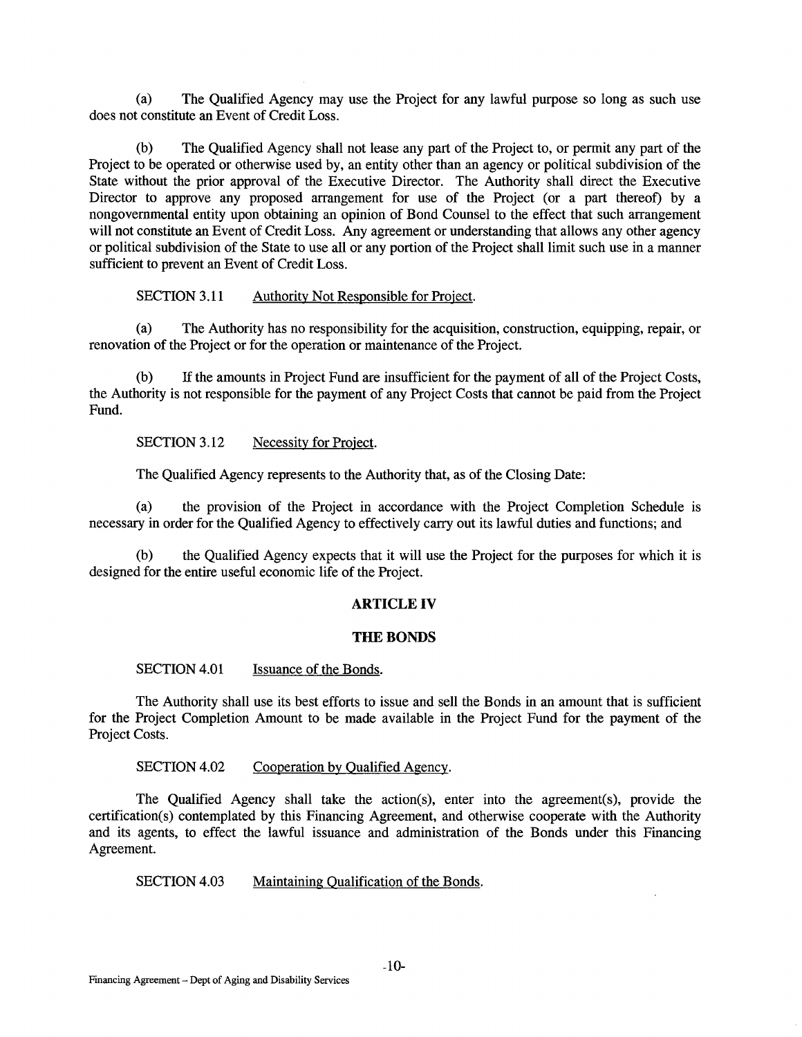(a) The Qualified Agency may use the Project for any lawful purpose so long as such use does not constitute an Event of Credit Loss.

(b) The Qualified Agency shall not lease any part of the Project to, or permit any part of the Project to be operated or otherwise used by, an entity other than an agency or political subdivision of the State without the prior approval of the Executive Director. The Authority shall direct the Executive Director to approve any proposed arrangement for use of the Project (or a part thereof) by a nongovernmental entity upon obtaining an opinion of Bond Counsel to the effect that such arrangement will not constitute an Event of Credit Loss. Any agreement or understanding that allows any other agency or political subdivision of the State to use all or any portion of the Project shall limit such use in a manner sufficient to prevent an Event of Credit Loss.

SECTION 3.11 Authority Not Responsible for Project.

(a) The Authority has no responsibility for the acquisition, construction, equipping, repair, or renovation of the Project or for the operation or maintenance of the Project.

(b) If the amounts in Project Fund are insufficient for the payment of all of the Project Costs, the Authority is not responsible for the payment of any Project Costs that cannot be paid from the Project Fund.

SECTION 3.12 Necessity for Project.

The Qualified Agency represents to the Authority that, as of the Closing Date:

(a) the provision of the Project in accordance with the Project Completion Schedule is necessary in order for the Qualified Agency to effectively carry out its lawful duties and functions; and

(b) the Qualified Agency expects that it will use the Project for the purposes for which it is designed for the entire useful economic life of the Project.

### **ARTICLE IV**

#### **THE BONDS**

SECTION 4.01 **Issuance of the Bonds.** 

The Authority shall use its best efforts to issue and sell the Bonds in an amount that is sufficient for the Project Completion Amount to be made available in the Project Fund for the payment of the Project Costs.

SECTION 4.02 Cooperation by Qualified Agency.

The Qualified Agency shall take the action(s), enter into the agreement(s), provide the certification(s) contemplated by this Financing Agreement, and otherwise cooperate with the Authority and its agents, to effect the lawful issuance and administration of the Bonds under this Financing Agreement.

SECTION 4.03 Maintaining Qualification of the Bonds.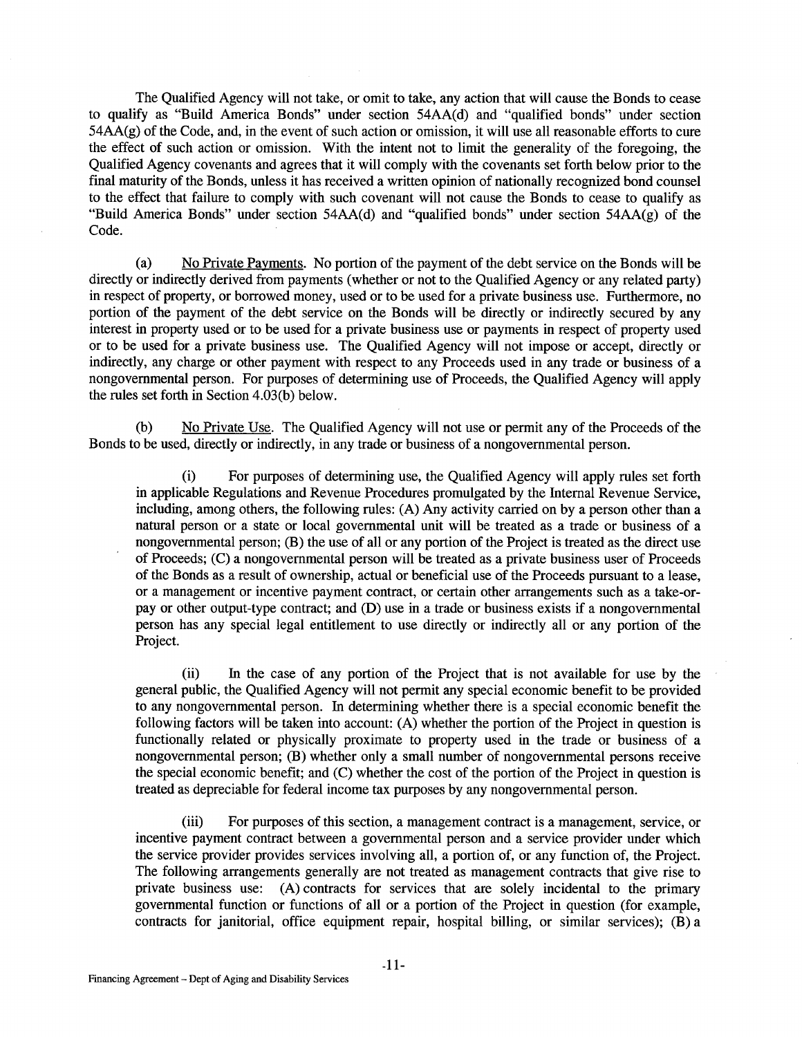The Qualified Agency will not take, or omit to take, any action that will cause the Bonds to cease to qualify as "Build America Bonds" under section 54AA(d) and "qualified bonds" under section 54AA(g) of the Code, and, in the event of such action or omission, it will use all reasonable efforts to cure the effect of such action or omission. With the intent not to limit the generality of the foregoing, the Qualified Agency covenants and agrees that it will comply with the covenants set forth below prior to the final maturity of the Bonds, unless it has received a written opinion of nationally recognized bond counsel to the effect that failure to comply with such covenant will not cause the Bonds to cease to qualify as "Build America Bonds" under section 54AA(d) and "qualified bonds" under section 54AA(g) of the Code.

(a) No Private Payments. No portion of the payment of the debt service on the Bonds will be directly or indirectly derived from payments (whether or not to the Qualified Agency or any related party) in respect of property, or borrowed money, used or to be used for a private business use. Furthermore, no portion of the payment of the debt service on the Bonds will be directly or indirectly secured by any interest in property used or to be used for a private business use or payments in respect of property used or to be used for a private business use. The Qualified Agency will not impose or accept, directly or indirectly, any charge or other payment with respect to any Proceeds used in any trade or business of a nongovernmental person. For purposes of determining use of Proceeds, the Qualified Agency will apply the rules set forth in Section 4.03(b) below.

(b) No Private Use. The Qualified Agency will not use or permit any of the Proceeds of the Bonds to be used, directly or indirectly, in any trade or business of a nongovernmental person.

(i) For purposes of determining use, the Qualified Agency will apply rules set forth in applicable Regulations and Revenue Procedures promulgated by the Internal Revenue Service, including, among others, the following rules: (A) Any activity carried on by a person other than a natural person or a state or local governmental unit will be treated as a trade or business of a nongovernmental person; (B) the use of all or any portion of the Project is treated as the direct use of Proceeds; (C) a nongovernmental person will be treated as a private business user of Proceeds of the Bonds as a result of ownership, actual or beneficial use of the Proceeds pursuant to a lease, or a management or incentive payment contract, or certain other arrangements such as a take-orpay or other output-type contract; and (D) use in a trade or business exists if a nongovernmental person has any special legal entitlement to use directly or indirectly all or any portion of the Project.

(ii) In the case of any portion of the Project that is not available for use by the general public, the Qualified Agency will not permit any special economic benefit to be provided to any nongovernmental person. In determining whether there is a special economic benefit the following factors will be taken into account: (A) whether the portion of the Project in question is functionally related or physically proximate to property used in the trade or business of a nongovernmental person; (B) whether only a small number of nongovernmental persons receive the special economic benefit; and (C) whether the cost of the portion of the Project in question is treated as depreciable for federal income tax purposes by any nongovernmental person.

(iii) For purposes of this section, a management contract is a management, service, or incentive payment contract between a governmental person and a service provider under which the service provider provides services involving all, a portion of, or any function of, the Project. The following arrangements generally are not treated as management contracts that give rise to private business use: (A) contracts for services that are solely incidental to the primary governmental function or functions of all or a portion of the Project in question (for example, contracts for janitorial, office equipment repair, hospital billing, or similar services); (B) a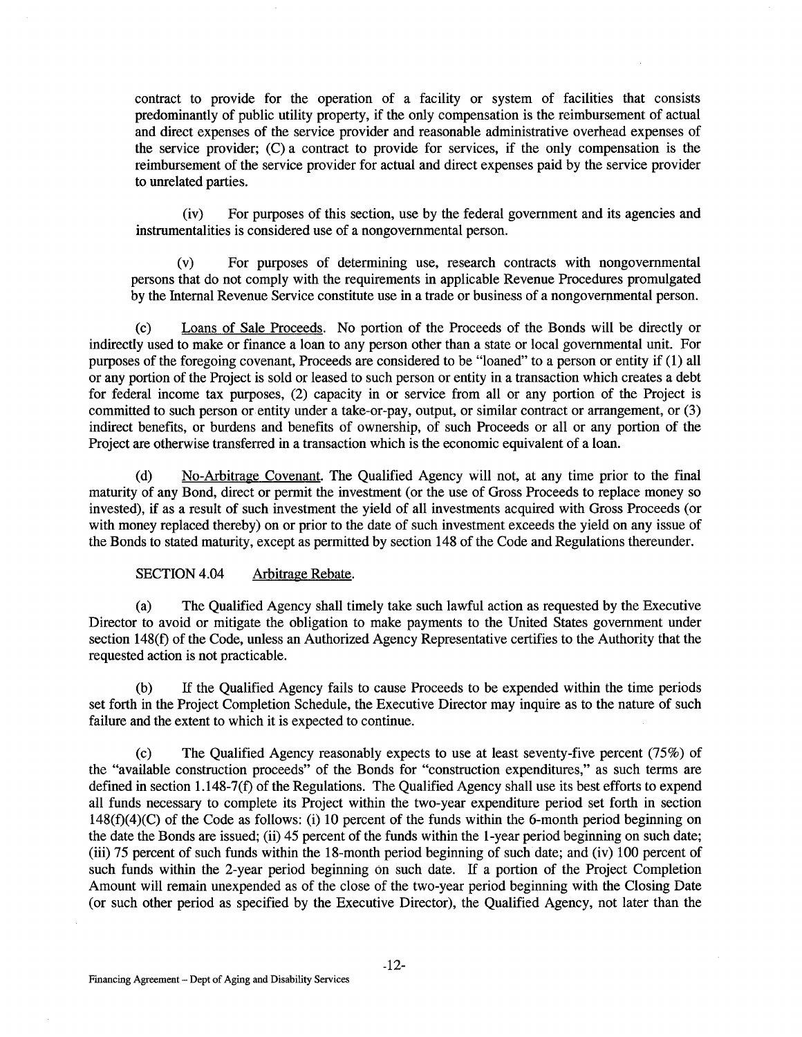contract to provide for the operation of a facility or system of facilities that consists predominantly of public utility property, if the only compensation is the reimbursement of actual and direct expenses of the service provider and reasonable administrative overhead expenses of the service provider; (C) a contract to provide for services, if the only compensation is the reimbursement of the service provider for actual and direct expenses paid by the service provider to unrelated parties.

(iv) For purposes of this section, use by the federal government and its agencies and instrumentalities is considered use of a nongovernmental person.

(v) For purposes of determining use, research contracts with nongovernmental persons that do not comply with the requirements in applicable Revenue Procedures promulgated by the Internal Revenue Service constitute use in a trade or business of a nongovernmental person.

(c) Loans of Sale Proceeds. No portion of the Proceeds of the Bonds will be directly or indirectly used to make or finance a loan to any person other than a state or local governmental unit. For purposes of the foregoing covenant, Proceeds are considered to be "loaned" to a person or entity if (1) all or any portion of the Project is sold or leased to such person or entity in a transaction which creates a debt for federal income tax purposes, (2) capacity in or service from all or any portion of the Project is committed to such person or entity under a take-or-pay, output, or similar contract or arrangement, or (3) indirect benefits, or burdens and benefits of ownership, of such Proceeds or all or any portion of the Project are otherwise transferred in a transaction which is the economic equivalent of a loan.

(d) No-Arbitrage Covenant. The Qualified Agency will not, at any time prior to the final maturity of any Bond, direct or permit the investment (or the use of Gross Proceeds to replace money so invested), if as a result of such investment the yield of all investments acquired with Gross Proceeds (or with money replaced thereby) on or prior to the date of such investment exceeds the yield on any issue of the Bonds to stated maturity, except as permitted by section 148 of the Code and Regulations thereunder.

### SECTION 4.04 Arbitrage Rebate.

(a) The Qualified Agency shall timely take such lawful action as requested by the Executive Director to avoid or mitigate the obligation to make payments to the United States government under section 148(f) of the Code, unless an Authorized Agency Representative certifies to the Authority that the requested action is not practicable.

(b) If the Qualified Agency fails to cause Proceeds to be expended within the time periods set forth in the Project Completion Schedule, the Executive Director may inquire as to the nature of such failure and the extent to which it is expected to continue.

(c) The Qualified Agency reasonably expects to use at least seventy-five percent (75%) of the "available construction proceeds" of the Bonds for "construction expenditures," as such terms are defined in section 1.148-7(f) of the Regulations. The Qualified Agency shall use its best efforts to expend all funds necessary to complete its Project within the two-year expenditure period set forth in section  $148(f)(4)(C)$  of the Code as follows: (i) 10 percent of the funds within the 6-month period beginning on the date the Bonds are issued; (ii) 45 percent of the funds within the 1-year period beginning on such date; (iii) 75 percent of such funds within the 18-month period beginning of such date; and (iv) 100 percent of such funds within the 2-year period beginning on such date. If a portion of the Project Completion Amount will remain unexpended as of the close of the two-year period beginning with the Closing Date (or such other period as specified by the Executive Director), the Qualified Agency, not later than the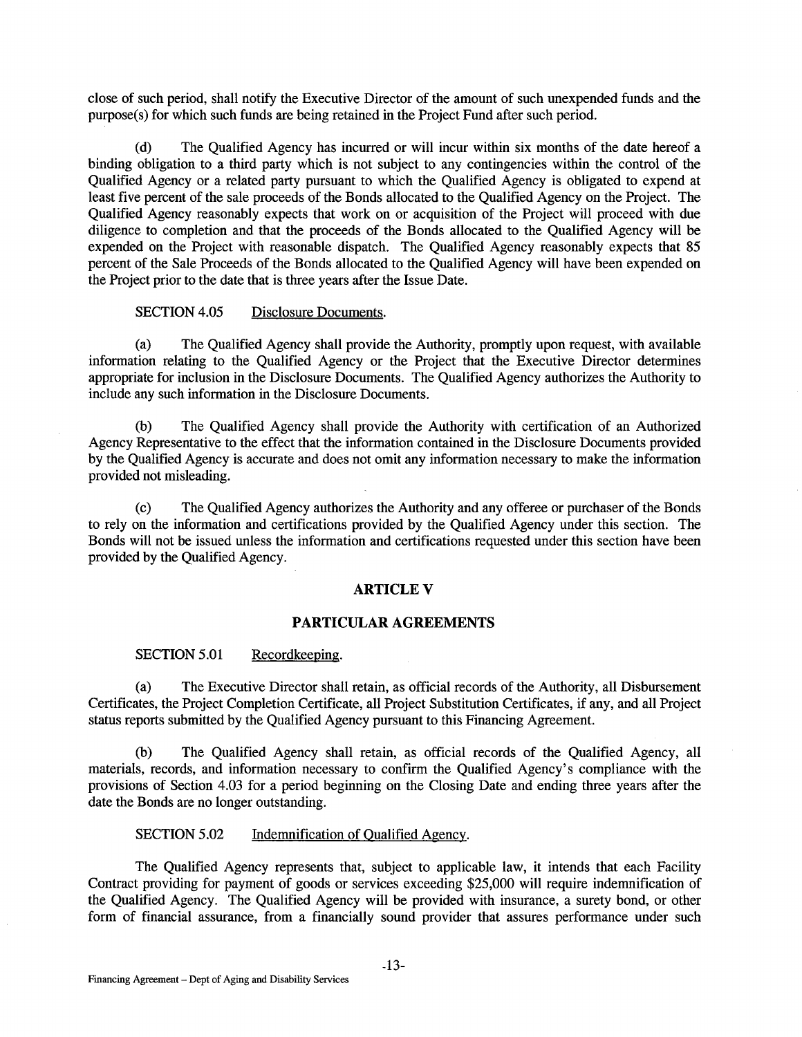close of such period, shall notify the Executive Director of the amount of such unexpended funds and the purpose(s) for which such funds are being retained in the Project Fund after such period.

(d) The Qualified Agency has incurred or will incur within six months of the date hereof a binding obligation to a third party which is not subject to any contingencies within the control of the Qualified Agency or a related party pursuant to which the Qualified Agency is obligated to expend at least five percent of the sale proceeds of the Bonds allocated to the Qualified Agency on the Project. The Qualified Agency reasonably expects that work on or acquisition of the Project will proceed with due diligence to completion and that the proceeds of the Bonds allocated to the Qualified Agency will be expended on the Project with reasonable dispatch. The Qualified Agency reasonably expects that 85 percent of the Sale Proceeds of the Bonds allocated to the Qualified Agency will have been expended on the Project prior to the date that is three years after the Issue Date.

# SECTION 4.05 Disclosure Documents.

(a) The Qualified Agency shall provide the Authority, promptly upon request, with available information relating to the Qualified Agency or the Project that the Executive Director determines appropriate for inclusion in the Disclosure Documents. The Qualified Agency authorizes the Authority to include any such information in the Disclosure Documents.

(b) The Qualified Agency shall provide the Authority with certification of an Authorized Agency Representative to the effect that the information contained in the Disclosure Documents provided by the Qualified Agency is accurate and does not omit any information necessary to make the information provided not misleading.

(c) The Qualified Agency authorizes the Authority and any offeree or purchaser of the Bonds to rely on the information and certifications provided by the Qualified Agency under this section. The Bonds will not be issued unless the information and certifications requested under this section have been provided by the Qualified Agency.

#### **ARTICLEV**

### **PARTICULAR AGREEMENTS**

### SECTION 5.01 Recordkeeping.

(a) The Executive Director shall retain, as official records of the Authority, all Disbursement Certificates, the Project Completion Certificate, all Project Substitution Certificates, if any, and all Project status reports submitted by the Qualified Agency pursuant to this Financing Agreement.

(b) The Qualified Agency shall retain, as official records of the Qualified Agency, all materials, records, and information necessary to confirm the Qualified Agency's compliance with the provisions of Section 4.03 for a period beginning on the Closing Date and ending three years after the date the Bonds are no longer outstanding.

#### SECTION 5.02 Indemnification of Qualified Agency.

The Qualified Agency represents that, subject to applicable law, it intends that each Facility Contract providing for payment of goods or services exceeding \$25,000 will require indemnification of the Qualified Agency. The Qualified Agency will be provided with insurance, a surety bond, or other form of financial assurance, from a financially sound provider that assures performance under such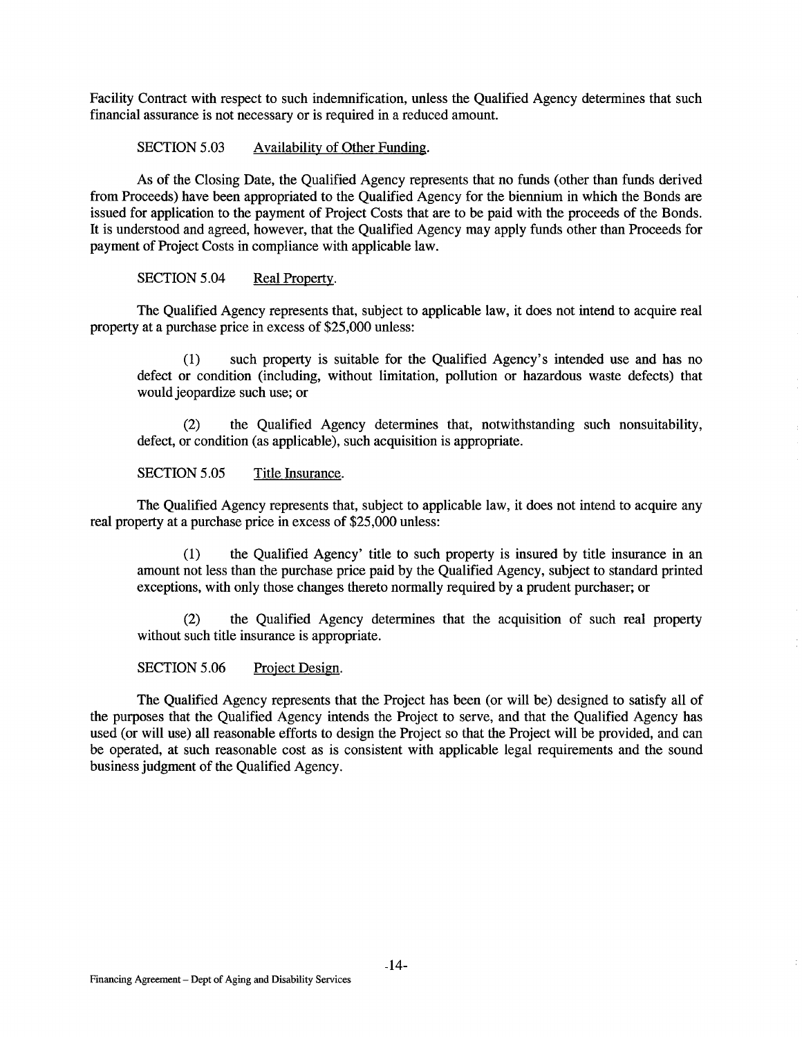Facility Contract with respect to such indemnification, unless the Qualified Agency determines that such financial assurance is not necessary or is required in a reduced amount.

SECTION 5.03 Availability of Other Funding.

As of the Closing Date, the Qualified Agency represents that no funds (other than funds derived from Proceeds) have been appropriated to the Qualified Agency for the biennium in which the Bonds are issued for application to the payment of Project Costs that are to be paid with the proceeds of the Bonds. It is understood and agreed, however, that the Qualified Agency may apply funds other than Proceeds for payment of Project Costs in compliance with applicable law.

SECTION 5.04 Real Property.

The Qualified Agency represents that, subject to applicable law, it does not intend to acquire real property at a purchase price in excess of \$25,000 unless:

(1) such property is suitable for the Qualified Agency's intended use and has no defect or condition (including, without limitation, pollution or hazardous waste defects) that would jeopardize such use; or

(2) the Qualified Agency determines that, notwithstanding such nonsuitability, defect, or condition (as applicable), such acquisition is appropriate.

SECTION 5.05 Title Insurance.

The Qualified Agency represents that, subject to applicable law, it does not intend to acquire any real property at a purchase price in excess of \$25,000 unless:

(1) the Qualified Agency' title to such property is insured by title insurance in an amount not less than the purchase price paid by the Qualified Agency, subject to standard printed exceptions, with only those changes thereto normally required by a prudent purchaser; or

(2) the Qualified Agency determines that the acquisition of such real property without such title insurance is appropriate.

SECTION 5.06 Project Design.

The Qualified Agency represents that the Project has been (or will be) designed to satisfy all of the purposes that the Qualified Agency intends the Project to serve, and that the Qualified Agency has used (or will use) all reasonable efforts to design the Project so that the Project will be provided, and can be operated, at such reasonable cost as is consistent with applicable legal requirements and the sound business judgment of the Qualified Agency.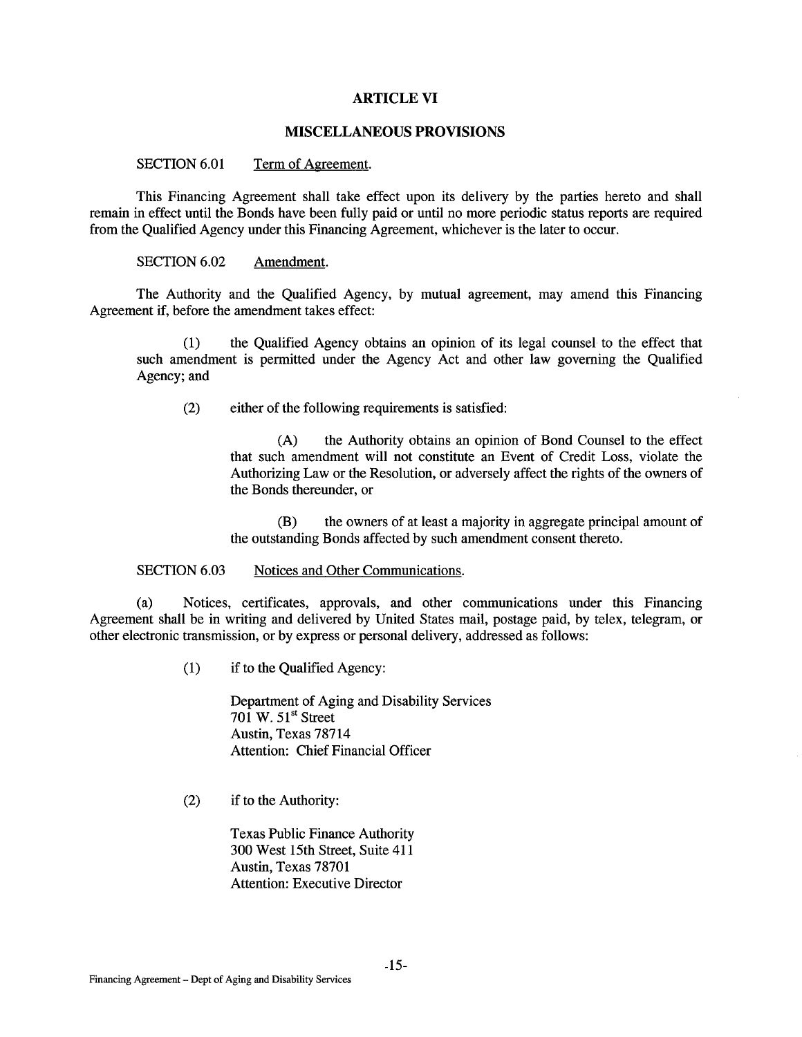# **ARTICLE VI**

### **MISCELLANEOUS PROVISIONS**

# SECTION 6.01 Term of Agreement.

This Financing Agreement shall take effect upon its delivery by the parties hereto and shall remain in effect until the Bonds have been fully paid or until no more periodic status reports are required from the Qualified Agency under this Financing Agreement, whichever is the later to occur.

### SECTION 6.02 Amendment.

The Authority and the Qualified Agency, by mutual agreement, may amend this Financing Agreement if, before the amendment takes effect:

(1) the Qualified Agency obtains an opinion of its legal counsel to the effect that such amendment is permitted under the Agency Act and other law governing the Qualified Agency; and

(2) either of the following requirements is satisfied:

(A) the Authority obtains an opinion of Bond Counsel to the effect that such amendment will not constitute an Event of Credit Loss, violate the Authorizing Law or the Resolution, or adversely affect the rights of the owners of the Bonds thereunder, or

(B) the owners of at least a majority in aggregate principal amount of the outstanding Bonds affected by such amendment consent thereto.

#### SECTION 6.03 Notices and Other Communications.

(a) Notices, certificates, approvals, and other communications under this Financing Agreement shall be in writing and delivered by United States mail, postage paid, by telex, telegram, or other electronic transmission, or by express or personal delivery, addressed as follows:

(1) if to the Qualified Agency:

Department of Aging and Disability Services 701 W.  $51<sup>st</sup>$  Street Austin, Texas 78714 Attention: Chief Financial Officer

(2) if to the Authority:

Texas Public Finance Authority 300 West 15th Street, Suite 411 Austin, Texas 78701 Attention: Executive Director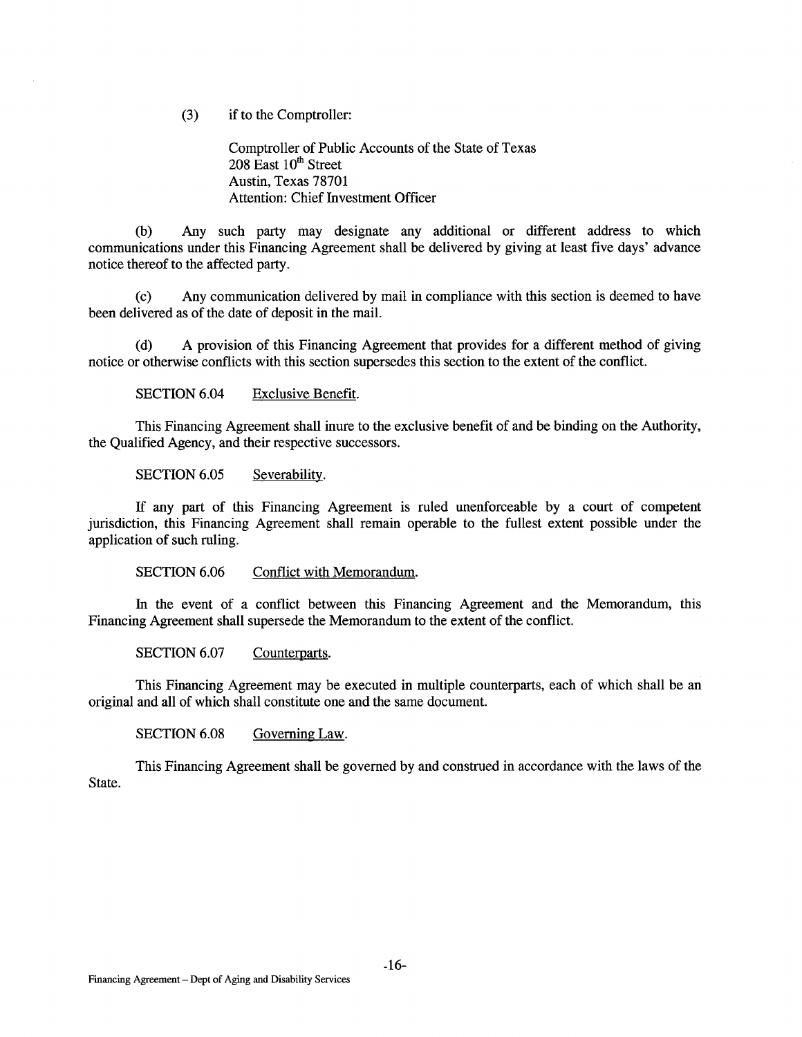(3) if to the Comptroller:

Comptroller of Public Accounts of the State of Texas  $208$  East  $10<sup>th</sup>$  Street Austin, Texas 78701 Attention: Chief Investment Officer

(b) Any such party may designate any additional or different address to which communications under this Financing Agreement shall be delivered by giving at least five days' advance notice thereof to the affected party.

(c) Any communication delivered by mail in compliance with this section is deemed to have been delivered as of the date of deposit in the mail.

(d) A provision of this Financing Agreement that provides for a different method of giving notice or otherwise conflicts with this section supersedes this section to the extent of the conflict.

SECTION 6.04 Exclusive Benefit.

This Financing Agreement shall inure to the exclusive benefit of and be binding on the Authority, the Qualified Agency, and their respective successors.

SECTION 6.05 Severability.

If any part of this Financing Agreement is ruled unenforceable by a court of competent jurisdiction, this Financing Agreement shall remain operable to the fullest extent possible under the application of such ruling.

SECTION 6.06 Conflict with Memorandum.

In the event of a conflict between this Financing Agreement and the Memorandum, this Financing Agreement shall supersede the Memorandum to the extent of the conflict.

SECTION 6.07 Counterparts.

This Financing Agreement may be executed in multiple counterparts, each of which shall be an original and all of which shall constitute one and the same document.

SECTION 6.08 Governing Law.

This Financing Agreement shall be governed by and construed in accordance with the laws of the State.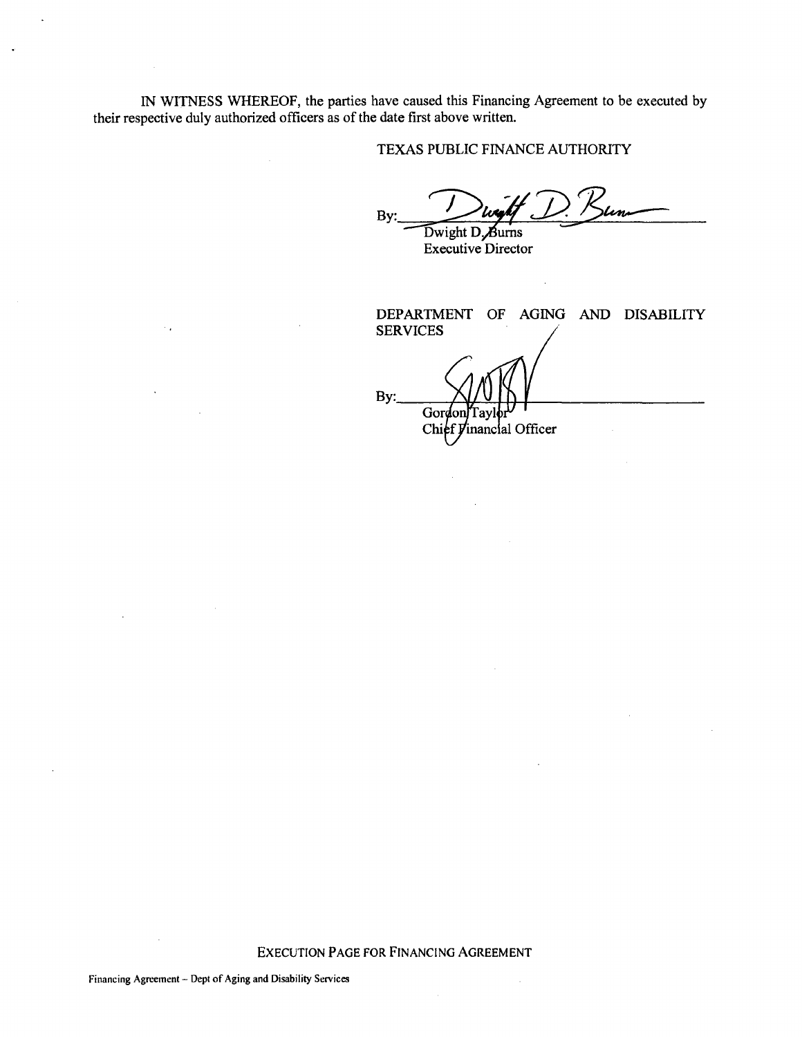IN WITNESS WHEREOF, the parties have caused this Financing Agreement to be executed by their respective duly authorized officers as of the date first above written.

# TEXAS PUBLIC FINANCE AUTHORITY

By: --:Jii:if.»:&-

Executive Director

DEPARTMENT OF AGING AND DISABILITY SERVICES By: Gordon Тау Chief Vinancial Officer

EXECUTION PAGE FOR FINANCING AGREEMENT

J.

 $\sim$  .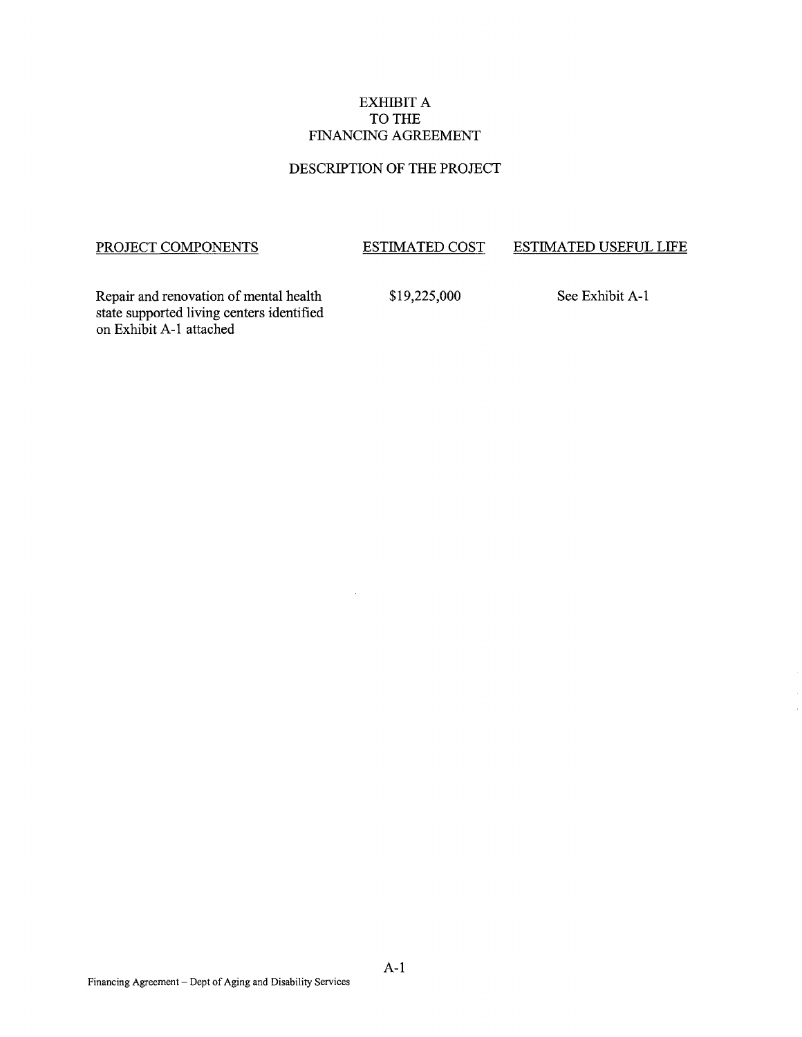# EXHIBIT A TO THE FINANCING AGREEMENT

# DESCRIPTION OF THE PROJECT

# PROJECT COMPONENTS

#### ESTIMATED COST ESTIMATED USEFUL LIFE

Repair and renovation of mental health state supported living centers identified on Exhibit A-1 attached

\$19,225,000

See Exhibit A-1

 $\mathcal{L}$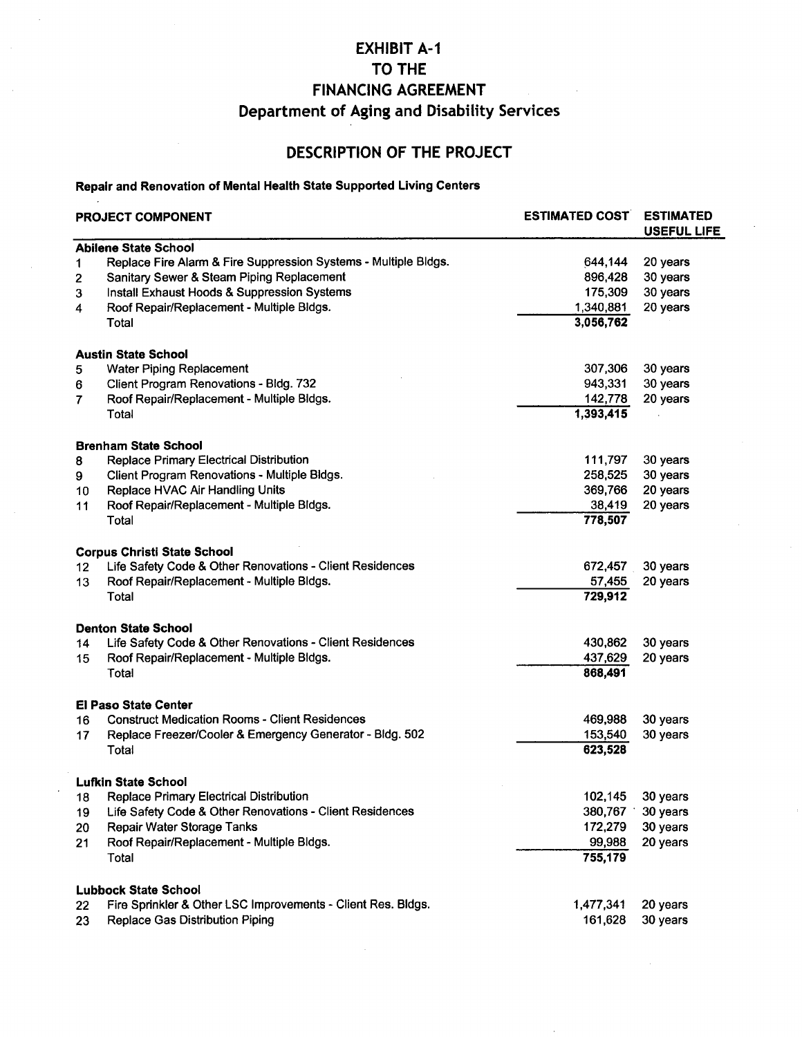# **EXHIBIT A-1 TO THE FINANCING AGREEMENT Department of Aging and Disability Services**

# **DESCRIPTION OF THE PROJECT**

# **Repair and Renovation of Mental Health State Supported Living Centers**

| <b>PROJECT COMPONENT</b> |                                                                 | <b>ESTIMATED COST</b> | <b>ESTIMATED</b><br><b>USEFUL LIFE</b> |  |
|--------------------------|-----------------------------------------------------------------|-----------------------|----------------------------------------|--|
|                          | <b>Abilene State School</b>                                     |                       |                                        |  |
| 1                        | Replace Fire Alarm & Fire Suppression Systems - Multiple Bldgs. | 644,144               | 20 years                               |  |
| 2                        | Sanitary Sewer & Steam Piping Replacement                       | 896,428               | 30 years                               |  |
| 3                        | Install Exhaust Hoods & Suppression Systems                     | 175,309               | 30 years                               |  |
| 4                        | Roof Repair/Replacement - Multiple Bldgs.                       | 1,340,881             | 20 years                               |  |
|                          | Total                                                           | 3,056,762             |                                        |  |
|                          | <b>Austin State School</b>                                      |                       |                                        |  |
| 5                        | <b>Water Piping Replacement</b>                                 | 307,306               | 30 years                               |  |
| 6                        | Client Program Renovations - Bldg. 732                          | 943,331               | 30 years                               |  |
| 7                        | Roof Repair/Replacement - Multiple Bldgs.                       | 142,778               | 20 years                               |  |
|                          | Total                                                           | 1,393,415             |                                        |  |
|                          | <b>Brenham State School</b>                                     |                       |                                        |  |
| 8                        | Replace Primary Electrical Distribution                         | 111,797               | 30 years                               |  |
| 9                        | Client Program Renovations - Multiple Bldgs.                    | 258,525               | 30 years                               |  |
| 10                       | Replace HVAC Air Handling Units                                 | 369,766               | 20 years                               |  |
| 11                       | Roof Repair/Replacement - Multiple Bldgs.                       | 38,419                | 20 years                               |  |
|                          | Total                                                           | 778,507               |                                        |  |
|                          | <b>Corpus Christi State School</b>                              |                       |                                        |  |
| 12 <sub>2</sub>          | Life Safety Code & Other Renovations - Client Residences        | 672,457               | 30 years                               |  |
| 13                       | Roof Repair/Replacement - Multiple Bldgs.                       | 57,455                | 20 years                               |  |
|                          | Total                                                           | 729,912               |                                        |  |
|                          | <b>Denton State School</b>                                      |                       |                                        |  |
| 14                       | Life Safety Code & Other Renovations - Client Residences        | 430,862               | 30 years                               |  |
| 15                       | Roof Repair/Replacement - Multiple Bldgs.                       | 437,629               | 20 years                               |  |
|                          | Total                                                           | 868,491               |                                        |  |
|                          | <b>El Paso State Center</b>                                     |                       |                                        |  |
| 16                       | <b>Construct Medication Rooms - Client Residences</b>           | 469,988               | 30 years                               |  |
| 17                       | Replace Freezer/Cooler & Emergency Generator - Bldg. 502        | 153,540               | 30 years                               |  |
|                          | Total                                                           | 623,528               |                                        |  |
|                          | <b>Lufkin State School</b>                                      |                       |                                        |  |
| 18                       | Replace Primary Electrical Distribution                         | 102,145               | 30 years                               |  |
| 19                       | Life Safety Code & Other Renovations - Client Residences        | 380,767               | 30 years                               |  |
| 20                       | Repair Water Storage Tanks                                      | 172,279               | 30 years                               |  |
| 21                       | Roof Repair/Replacement - Multiple Bldgs.                       | 99,988                | 20 years                               |  |
|                          | Total                                                           | 755,179               |                                        |  |
|                          | <b>Lubbock State School</b>                                     |                       |                                        |  |
| 22                       | Fire Sprinkler & Other LSC Improvements - Client Res. Bldgs.    | 1,477,341             | 20 years                               |  |
| 23                       | Replace Gas Distribution Piping                                 | 161,628               | 30 years                               |  |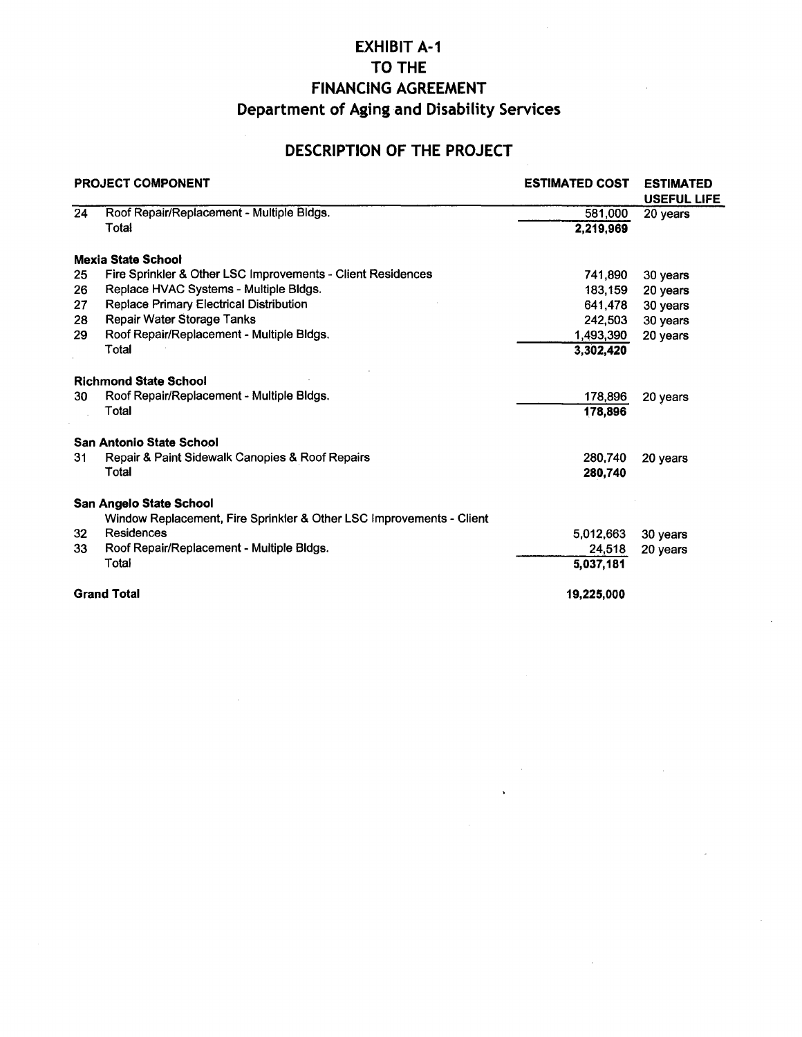# EXHIBIT A-1 TO THE FINANCING AGREEMENT Department of Aging and Disability Services

# DESCRIPTION OF THE PROJECT

| <b>PROJECT COMPONENT</b> |                                                                      | <b>ESTIMATED COST</b> | <b>ESTIMATED</b><br><b>USEFUL LIFE</b> |  |
|--------------------------|----------------------------------------------------------------------|-----------------------|----------------------------------------|--|
| 24                       | Roof Repair/Replacement - Multiple Bldgs.                            | 581,000               | 20 years                               |  |
|                          | Total                                                                | 2,219,969             |                                        |  |
|                          | <b>Mexia State School</b>                                            |                       |                                        |  |
| 25                       | Fire Sprinkler & Other LSC Improvements - Client Residences          | 741,890               | 30 years                               |  |
| 26                       | Replace HVAC Systems - Multiple Bldgs.                               | 183,159               | 20 years                               |  |
| 27                       | Replace Primary Electrical Distribution                              | 641,478               | 30 years                               |  |
| 28                       | Repair Water Storage Tanks                                           | 242,503               | 30 years                               |  |
| 29                       | Roof Repair/Replacement - Multiple Bldgs.                            | 1,493,390             | 20 years                               |  |
|                          | Total                                                                | 3,302,420             |                                        |  |
|                          | <b>Richmond State School</b>                                         |                       |                                        |  |
| 30                       | Roof Repair/Replacement - Multiple Bldgs.                            | 178,896               | 20 years                               |  |
|                          | Total                                                                | 178,896               |                                        |  |
|                          | San Antonio State School                                             |                       |                                        |  |
| 31                       | Repair & Paint Sidewalk Canopies & Roof Repairs                      | 280.740               | 20 years                               |  |
|                          | Total                                                                | 280,740               |                                        |  |
|                          | San Angelo State School                                              |                       |                                        |  |
|                          | Window Replacement, Fire Sprinkler & Other LSC Improvements - Client |                       |                                        |  |
| 32                       | Residences                                                           | 5.012.663             | 30 years                               |  |
| 33                       | Roof Repair/Replacement - Multiple Bldgs.                            | 24,518                | 20 years                               |  |
|                          | Total                                                                | 5,037,181             |                                        |  |
|                          | <b>Grand Total</b>                                                   | 19,225,000            |                                        |  |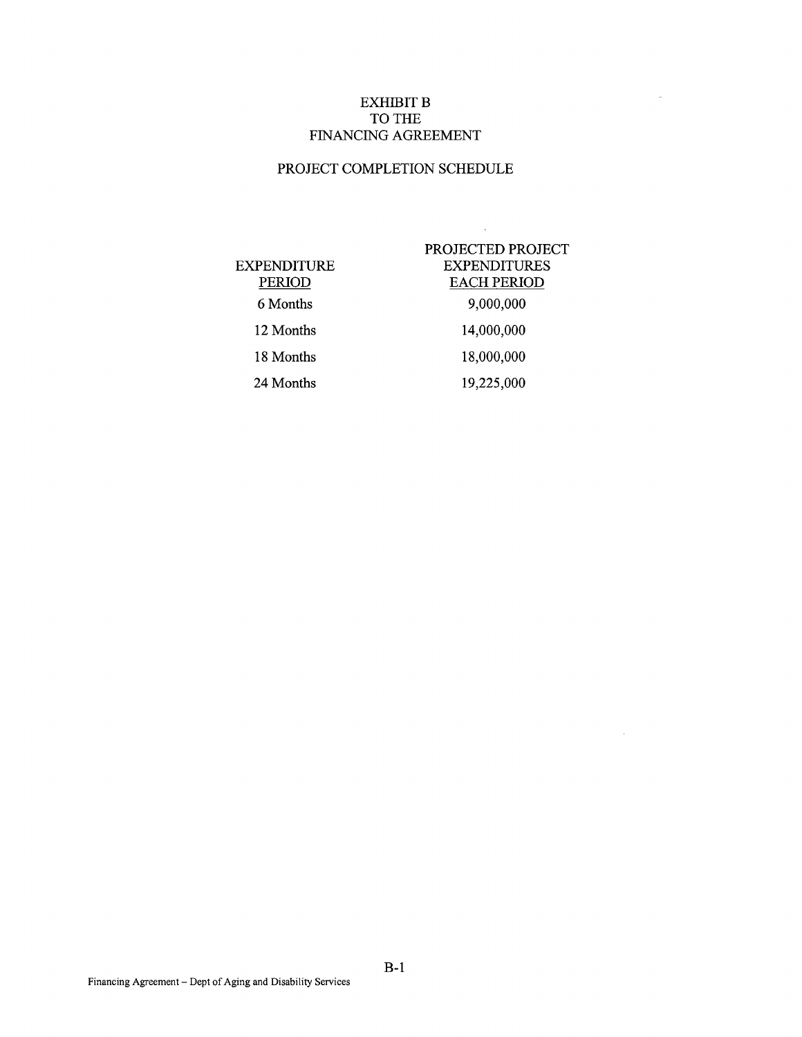# EXHIBIT **B** TO THE FINANCING AGREEMENT

# PROJECT COMPLETION SCHEDULE

| <b>EXPENDITURE</b><br>PERIOD<br>6 Months |  |
|------------------------------------------|--|
| 12 Months                                |  |
| 18 Months                                |  |
| 24 Months                                |  |

# PROJECTED PROJECT EXPENDITURES EACH PERIOD 9,000,000 14,000,000 18,000,000

 $\hat{\mathcal{A}}$ 

 $\hat{\theta}$ 

 $\sim$ 

19,225,000

Financing Agreement- Dept of Aging and Disability Services

B-1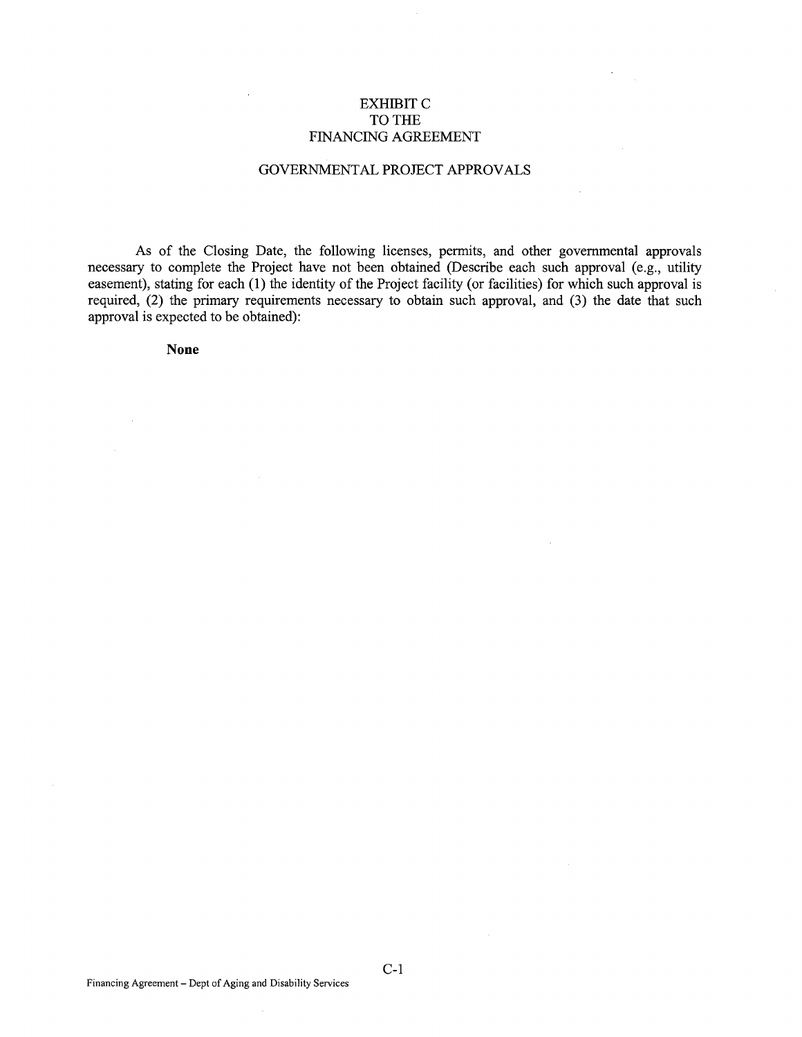# EXHIBIT C TO THE FINANCING AGREEMENT

## GOVERNMENTAL PROJECT APPROVALS

As of the Closing Date, the following licenses, permits, and other governmental approvals necessary to complete the Project have not been obtained (Describe each such approval (e.g., utility easement), stating for each (1) the identity of the Project facility (or facilities) for which such approval is required, (2) the primary requirements necessary to obtain such approval, and (3) the date that such approval is expected to be obtained):

**None** 

C-1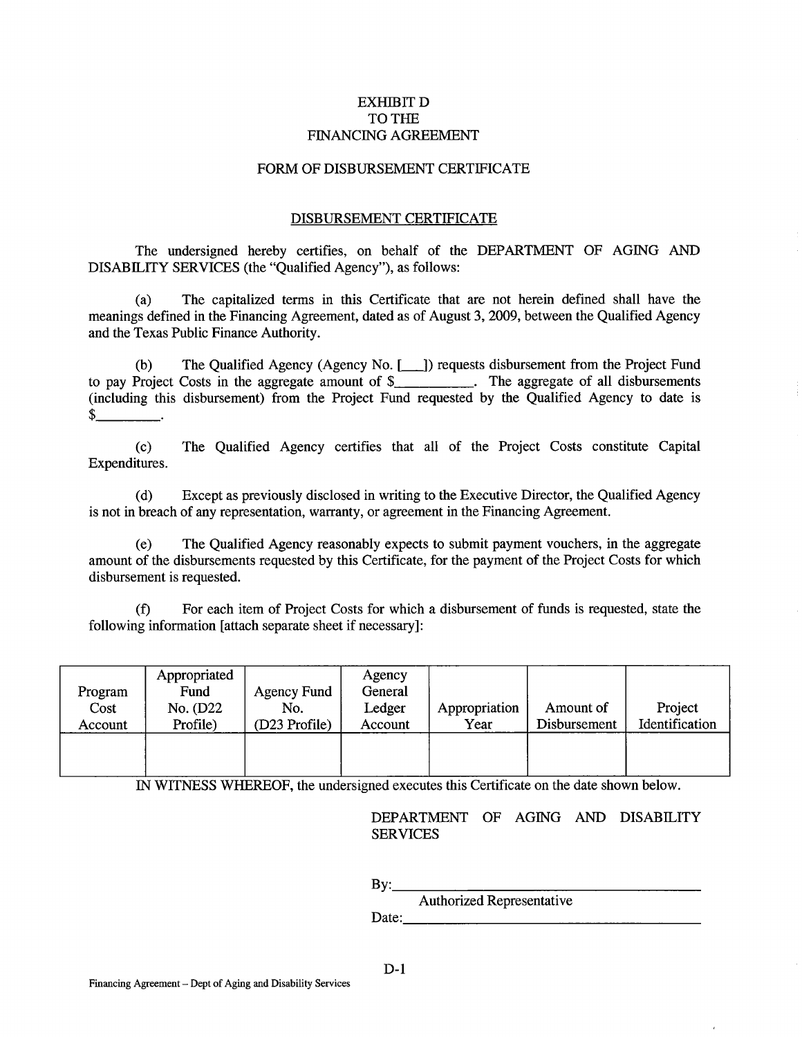# EXHIBITD TO THE FINANCING AGREEMENT

#### FORM OF DISBURSEMENT CERTIFICATE

#### DISBURSEMENT CERTIFICATE

The undersigned hereby certifies, on behalf of the DEPARTMENT OF AGING AND DISABILITY SERVICES (the "Qualified Agency"), as follows:

(a) The capitalized terms in this Certificate that are not herein defined shall have the meanings defined in the Financing Agreement, dated as of August 3, 2009, between the Qualified Agency and the Texas Public Finance Authority.

(b) The Qualified Agency (Agency No.[\_]) requests disbursement from the Project Fund to pay Project Costs in the aggregate amount of \$\_\_\_\_\_\_\_\_\_\_. The aggregate of all disbursements (including this disbursement) from the Project Fund requested by the Qualified Agency to date is \$

(c) The Qualified Agency certifies that all of the Project Costs constitute Capital Expenditures.

(d) Except as previously disclosed in writing to the Executive Director, the Qualified Agency is not in breach of any representation, warranty, or agreement in the Financing Agreement.

(e) The Qualified Agency reasonably expects to submit payment vouchers, in the aggregate amount of the disbursements requested by this Certificate, for the payment of the Project Costs for which disbursement is requested.

(f) For each item of Project Costs for which a disbursement of funds is requested, state the following information [attach separate sheet if necessary]:

| Program<br>Cost<br>Account | Appropriated<br>Fund<br>No. (D22)<br>Profile) | Agency Fund<br>No.<br>(D23 Profile) | Agency<br>General<br>Ledger<br>Account | Appropriation<br>Year | Amount of<br>Disbursement | Project<br>Identification |
|----------------------------|-----------------------------------------------|-------------------------------------|----------------------------------------|-----------------------|---------------------------|---------------------------|
|                            |                                               |                                     |                                        |                       |                           |                           |

IN WITNESS WHEREOF, the undersigned executes this Certificate on the date shown below.

DEPARTMENT OF AGING AND DISABILITY SERVICES

By: \_\_\_\_\_\_\_\_\_\_\_\_\_\_\_\_ \_ Authorized Representative Date: \_\_\_\_\_\_\_\_\_\_\_\_\_\_\_\_\_ \_

Financing Agreement- Dept of Aging and Disability Services

D-1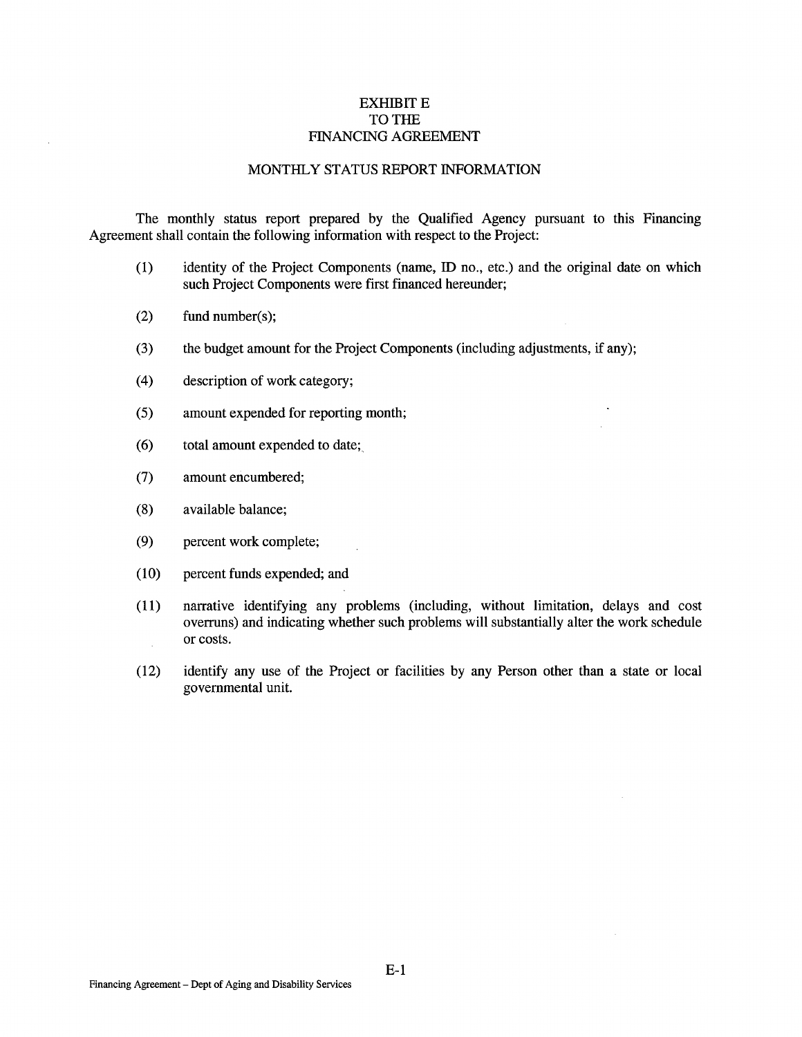# **EXHIBIT E** TO THE FINANCING AGREEMENT

#### MONTHLY STATUS REPORT INFORMATION

The monthly status report prepared by the Qualified Agency pursuant to this Financing Agreement shall contain the following information with respect to the Project:

- (1) identity of the Project Components (name, ID no., etc.) and the original date on which such Project Components were first financed hereunder;
- (2) fund number(s);
- (3) the budget amount for the Project Components (including adjustments, if any);
- (4) description of work category;
- (5) amount expended for reporting month;
- (6) total amount expended to date;
- (7) amount encumbered;
- (8) available balance;
- (9) percent work complete;
- (10) percent funds expended; and
- (11) narrative identifying any problems (including, without limitation, delays and cost overruns) and indicating whether such problems will substantially alter the work schedule or costs.  $\sim$
- (12) identify any use of the Project or facilities by any Person other than a state or local governmental unit.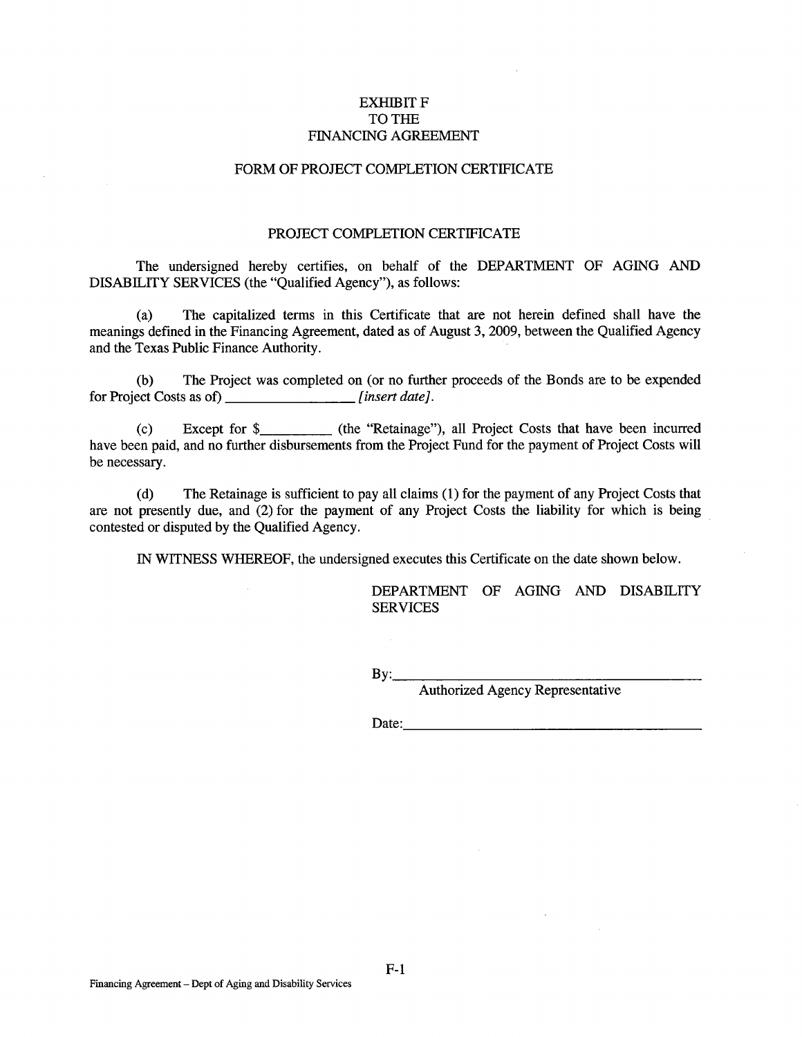# **EXHIBIT F** TO THE FINANCING AGREEMENT

# FORM OF PROJECT COMPLETION CERTIFICATE

### PROJECT COMPLETION CERTIFICATE

The undersigned hereby certifies, on behalf of the DEPARTMENT OF AGING AND DISABILITY SERVICES (the "Qualified Agency"), as follows:

(a) The capitalized terms in this Certificate that are not herein defined shall have the meanings defined in the Financing Agreement, dated as of August 3, 2009, between the Qualified Agency and the Texas Public Finance Authority.

(b) The Project was completed on (or no further proceeds of the Bonds are to be expended for Project Costs as of) *[insert date].* 

(c) Except for \$\_\_\_\_\_\_\_\_\_ (the "Retainage"), all Project Costs that have been incurred have been paid, and no further disbursements from the Project Fund for the payment of Project Costs will be necessary.

(d) The Retainage is sufficient to pay all claims (1) for the payment of any Project Costs that are not presently due, and (2) for the payment of any Project Costs the liability for which is being contested or disputed by the Qualified Agency.

IN WITNESS WHEREOF, the undersigned executes this Certificate on the date shown below.

DEPARTMENT OF AGING AND DISABILITY **SERVICES** 

 $Bv:$ 

Authorized Agency Representative

 $Date:$ 

F-1